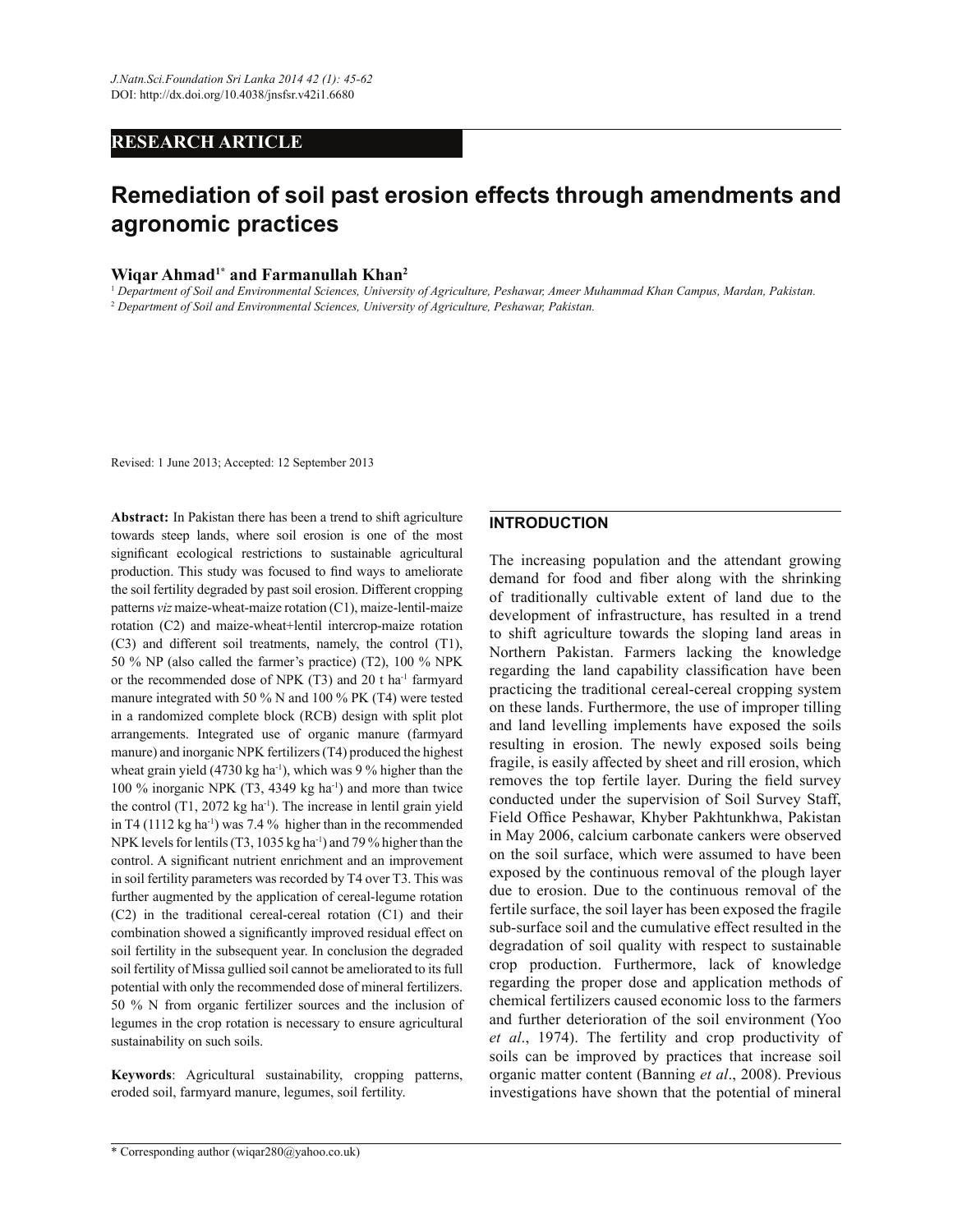# **RESEARCH ARTICLE**

# **Remediation of soil past erosion effects through amendments and agronomic practices**

## **Wiqar Ahmad1\* and Farmanullah Khan<sup>2</sup>**

<sup>1</sup> *Department of Soil and Environmental Sciences, University of Agriculture, Peshawar, Ameer Muhammad Khan Campus, Mardan, Pakistan.* <sup>2</sup> *Department of Soil and Environmental Sciences, University of Agriculture, Peshawar, Pakistan.*

Revised: 1 June 2013; Accepted: 12 September 2013

**Abstract:** In Pakistan there has been a trend to shift agriculture towards steep lands, where soil erosion is one of the most significant ecological restrictions to sustainable agricultural production. This study was focused to find ways to ameliorate the soil fertility degraded by past soil erosion. Different cropping patterns *viz* maize-wheat-maize rotation (C1), maize-lentil-maize rotation (C2) and maize-wheat+lentil intercrop-maize rotation (C3) and different soil treatments, namely, the control (T1), 50 % NP (also called the farmer's practice) (T2), 100 % NPK or the recommended dose of NPK (T3) and 20 t ha-1 farmyard manure integrated with 50 % N and 100 % PK (T4) were tested in a randomized complete block (RCB) design with split plot arrangements. Integrated use of organic manure (farmyard manure) and inorganic NPK fertilizers (T4) produced the highest wheat grain yield (4730 kg ha $^{-1}$ ), which was 9 % higher than the 100 % inorganic NPK (T3, 4349 kg ha-1) and more than twice the control (T1, 2072 kg ha<sup>-1</sup>). The increase in lentil grain yield in T4 (1112 kg ha<sup>-1</sup>) was 7.4 % higher than in the recommended NPK levels for lentils (T3, 1035 kg ha<sup>-1</sup>) and 79 % higher than the control. A significant nutrient enrichment and an improvement in soil fertility parameters was recorded by T4 over T3. This was further augmented by the application of cereal-legume rotation (C2) in the traditional cereal-cereal rotation (C1) and their combination showed a significantly improved residual effect on soil fertility in the subsequent year. In conclusion the degraded soil fertility of Missa gullied soil cannot be ameliorated to its full potential with only the recommended dose of mineral fertilizers. 50 % N from organic fertilizer sources and the inclusion of legumes in the crop rotation is necessary to ensure agricultural sustainability on such soils.

**Keywords**: Agricultural sustainability, cropping patterns, eroded soil, farmyard manure, legumes, soil fertility.

## **INTRODUCTION**

The increasing population and the attendant growing demand for food and fiber along with the shrinking of traditionally cultivable extent of land due to the development of infrastructure, has resulted in a trend to shift agriculture towards the sloping land areas in Northern Pakistan. Farmers lacking the knowledge regarding the land capability classification have been practicing the traditional cereal-cereal cropping system on these lands. Furthermore, the use of improper tilling and land levelling implements have exposed the soils resulting in erosion. The newly exposed soils being fragile, is easily affected by sheet and rill erosion, which removes the top fertile layer. During the field survey conducted under the supervision of Soil Survey Staff, Field Office Peshawar, Khyber Pakhtunkhwa, Pakistan in May 2006, calcium carbonate cankers were observed on the soil surface, which were assumed to have been exposed by the continuous removal of the plough layer due to erosion. Due to the continuous removal of the fertile surface, the soil layer has been exposed the fragile sub-surface soil and the cumulative effect resulted in the degradation of soil quality with respect to sustainable crop production. Furthermore, lack of knowledge regarding the proper dose and application methods of chemical fertilizers caused economic loss to the farmers and further deterioration of the soil environment (Yoo *et al*., 1974). The fertility and crop productivity of soils can be improved by practices that increase soil organic matter content (Banning *et al*., 2008). Previous investigations have shown that the potential of mineral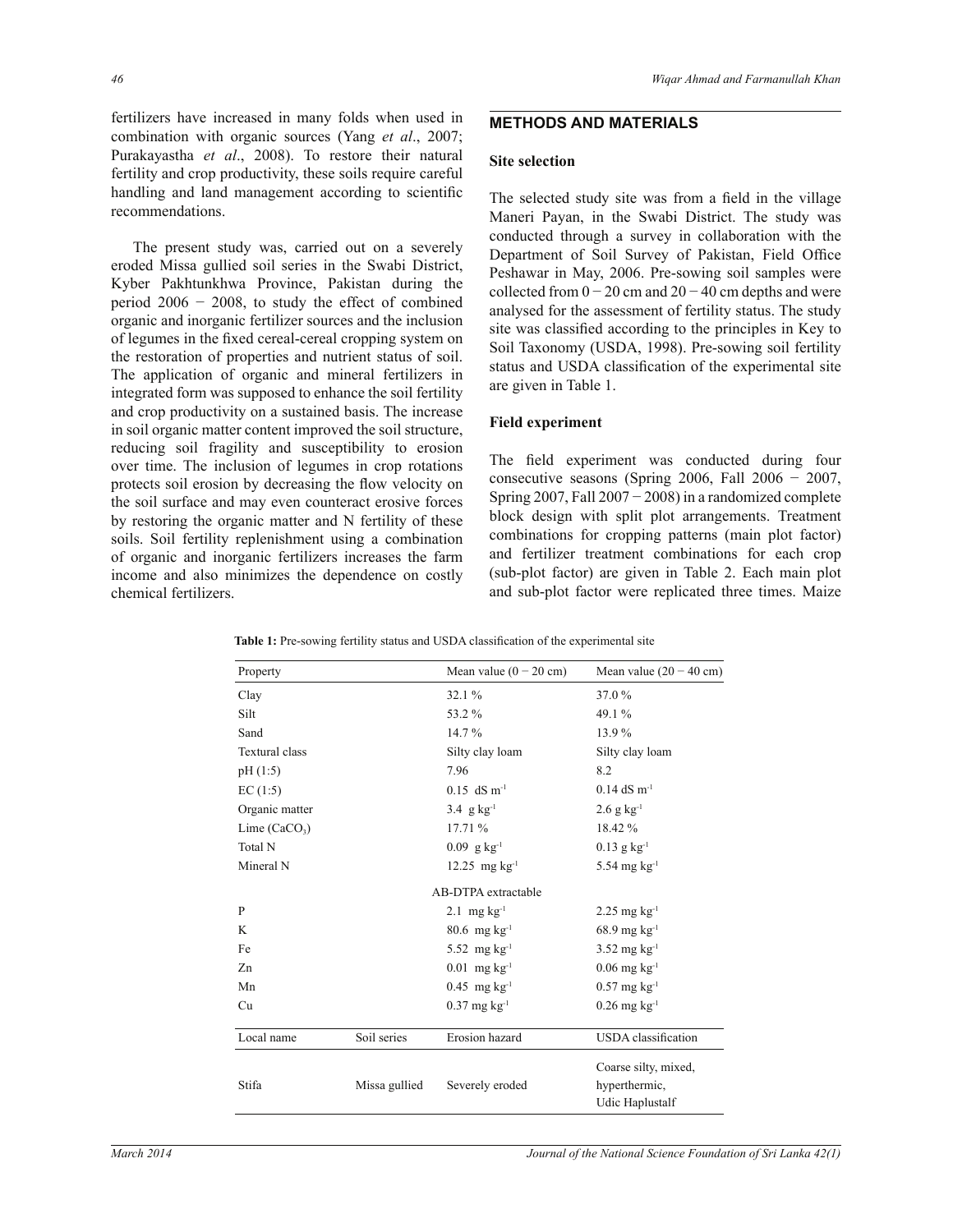fertilizers have increased in many folds when used in combination with organic sources (Yang *et al*., 2007; Purakayastha *et al*., 2008). To restore their natural fertility and crop productivity, these soils require careful handling and land management according to scientific recommendations.

 The present study was, carried out on a severely eroded Missa gullied soil series in the Swabi District, Kyber Pakhtunkhwa Province, Pakistan during the period 2006 − 2008, to study the effect of combined organic and inorganic fertilizer sources and the inclusion of legumes in the fixed cereal-cereal cropping system on the restoration of properties and nutrient status of soil. The application of organic and mineral fertilizers in integrated form was supposed to enhance the soil fertility and crop productivity on a sustained basis. The increase in soil organic matter content improved the soil structure, reducing soil fragility and susceptibility to erosion over time. The inclusion of legumes in crop rotations protects soil erosion by decreasing the flow velocity on the soil surface and may even counteract erosive forces by restoring the organic matter and N fertility of these soils. Soil fertility replenishment using a combination of organic and inorganic fertilizers increases the farm income and also minimizes the dependence on costly chemical fertilizers.

## **METHODS AND MATERIALS**

## **Site selection**

The selected study site was from a field in the village Maneri Payan, in the Swabi District. The study was conducted through a survey in collaboration with the Department of Soil Survey of Pakistan, Field Office Peshawar in May, 2006. Pre-sowing soil samples were collected from  $0 - 20$  cm and  $20 - 40$  cm depths and were analysed for the assessment of fertility status. The study site was classified according to the principles in Key to Soil Taxonomy (USDA, 1998). Pre-sowing soil fertility status and USDA classification of the experimental site are given in Table 1.

#### **Field experiment**

The field experiment was conducted during four consecutive seasons (Spring 2006, Fall 2006 − 2007, Spring  $2007$ , Fall  $2007 - 2008$ ) in a randomized complete block design with split plot arrangements. Treatment combinations for cropping patterns (main plot factor) and fertilizer treatment combinations for each crop (sub-plot factor) are given in Table 2. Each main plot and sub-plot factor were replicated three times. Maize

| Property              |               | Mean value $(0 - 20$ cm)    | Mean value $(20 - 40$ cm)  |
|-----------------------|---------------|-----------------------------|----------------------------|
| Clay                  |               | 32.1 %                      | 37.0 %                     |
| Silt                  |               | 53.2%                       | 49.1 %                     |
| Sand                  |               | 14.7%                       | 13.9%                      |
| <b>Textural class</b> |               | Silty clay loam             | Silty clay loam            |
| pH(1:5)               |               | 7.96                        | 8.2                        |
| EC(1:5)               |               | $0.15$ dS m <sup>-1</sup>   | $0.14$ dS m <sup>-1</sup>  |
| Organic matter        |               | 3.4 $g kg^{-1}$             | $2.6$ g kg <sup>-1</sup>   |
| Lime $(CaCO3)$        |               | 17.71%                      | 18.42 %                    |
| Total N               |               | $0.09$ g kg <sup>-1</sup>   | $0.13$ g kg <sup>-1</sup>  |
| Mineral N             |               | $12.25$ mg kg <sup>-1</sup> | 5.54 mg $kg^{-1}$          |
|                       |               | AB-DTPA extractable         |                            |
| P                     |               | $2.1$ mg $kg^{-1}$          | $2.25$ mg kg <sup>-1</sup> |
| K                     |               | $80.6$ mg kg <sup>-1</sup>  | $68.9$ mg kg <sup>-1</sup> |
| Fe                    |               | 5.52 mg $kg^{-1}$           | $3.52 \text{ mg kg}^{-1}$  |
| Zn                    |               | $0.01$ mg kg <sup>-1</sup>  | $0.06$ mg kg <sup>-1</sup> |
| Mn                    |               | $0.45$ mg kg <sup>-1</sup>  | $0.57$ mg kg <sup>-1</sup> |
| Cu                    |               | $0.37$ mg kg <sup>-1</sup>  | $0.26$ mg kg <sup>-1</sup> |
| Local name            | Soil series   | Erosion hazard              | <b>USDA</b> classification |
|                       |               |                             | Coarse silty, mixed,       |
| Stifa                 | Missa gullied | Severely eroded             | hyperthermic,              |
|                       |               |                             | Udic Haplustalf            |

**Table 1:** Pre-sowing fertility status and USDA classification of the experimental site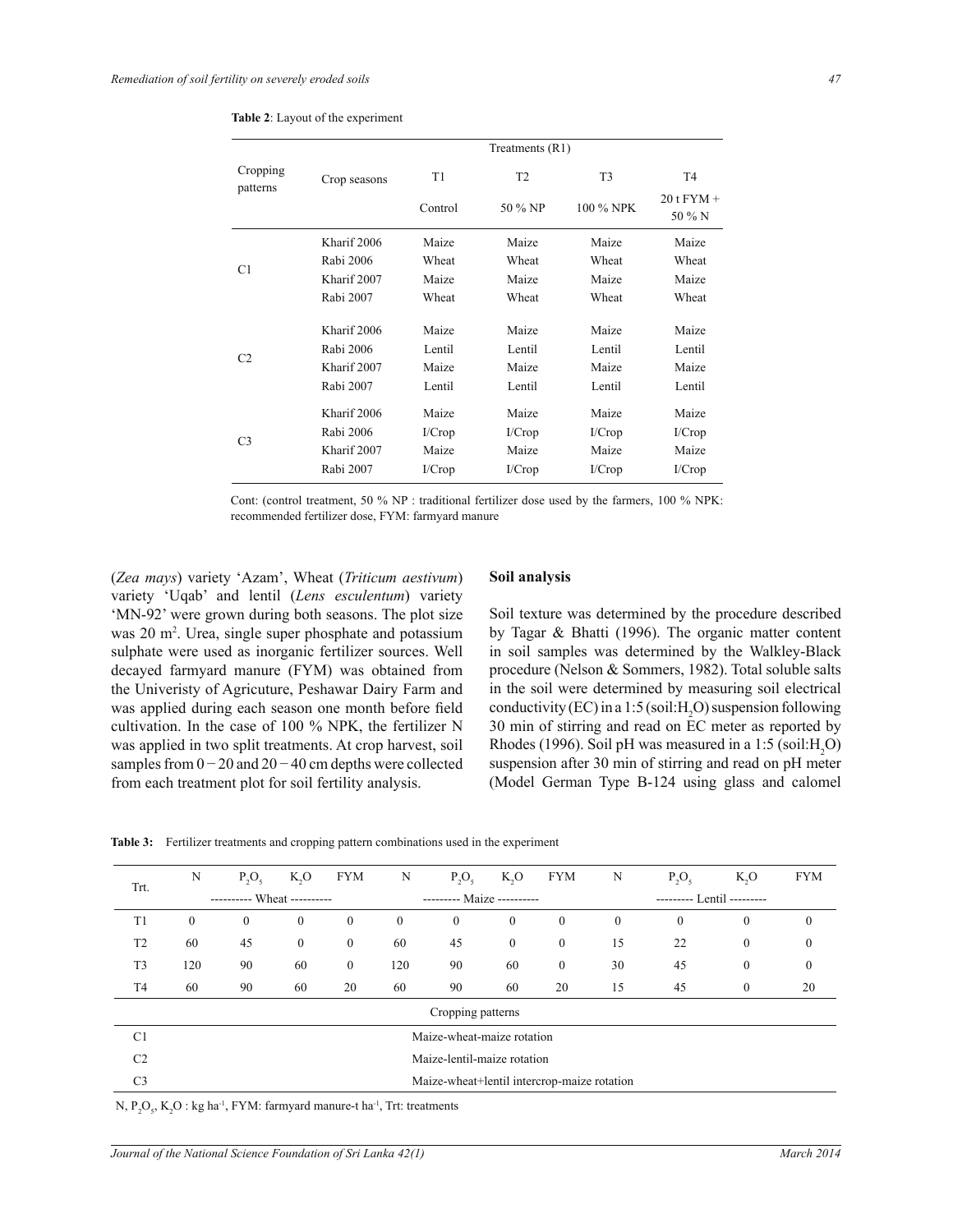|                      |                                                                                                                                                                                                                                                                                                                                                                                                                            |    | Treatments (R1) |                          |                |
|----------------------|----------------------------------------------------------------------------------------------------------------------------------------------------------------------------------------------------------------------------------------------------------------------------------------------------------------------------------------------------------------------------------------------------------------------------|----|-----------------|--------------------------|----------------|
| Cropping<br>patterns | Crop seasons                                                                                                                                                                                                                                                                                                                                                                                                               | T1 | T2              | T <sub>3</sub>           | T <sub>4</sub> |
|                      | Control<br>50 % NP<br>Kharif 2006<br>Maize<br>Maize<br>Rabi 2006<br>Wheat<br>Wheat<br>Kharif 2007<br>Maize<br>Maize<br>Rabi 2007<br>Wheat<br>Wheat<br>Kharif 2006<br>Maize<br>Maize<br>Rabi 2006<br>Lentil<br>Lentil<br>Kharif 2007<br>Maize<br>Maize<br>Rabi 2007<br>Lentil<br>Lentil<br>Kharif 2006<br>Maize<br>Maize<br>Rabi 2006<br>I/Crop<br>I/Crop<br>Kharif 2007<br>Maize<br>Maize<br>Rabi 2007<br>I/Crop<br>I/Crop |    | 100 % NPK       | $20$ t $FYM +$<br>50 % N |                |
|                      |                                                                                                                                                                                                                                                                                                                                                                                                                            |    |                 | Maize                    | Maize          |
| C1                   |                                                                                                                                                                                                                                                                                                                                                                                                                            |    |                 | Wheat                    | Wheat          |
|                      |                                                                                                                                                                                                                                                                                                                                                                                                                            |    |                 | Maize                    | Maize          |
|                      |                                                                                                                                                                                                                                                                                                                                                                                                                            |    |                 | Wheat                    | Wheat          |
|                      |                                                                                                                                                                                                                                                                                                                                                                                                                            |    |                 | Maize                    | Maize          |
|                      |                                                                                                                                                                                                                                                                                                                                                                                                                            |    |                 | Lentil                   | Lentil         |
| C <sub>2</sub>       |                                                                                                                                                                                                                                                                                                                                                                                                                            |    |                 | Maize                    | Maize          |
|                      |                                                                                                                                                                                                                                                                                                                                                                                                                            |    |                 | Lentil                   | Lentil         |
|                      |                                                                                                                                                                                                                                                                                                                                                                                                                            |    |                 | Maize                    | Maize          |
| C <sub>3</sub>       |                                                                                                                                                                                                                                                                                                                                                                                                                            |    |                 | I/Crop                   | I/Crop         |
|                      |                                                                                                                                                                                                                                                                                                                                                                                                                            |    |                 | Maize                    | Maize          |
|                      |                                                                                                                                                                                                                                                                                                                                                                                                                            |    |                 | I/Crop                   | I/Crop         |

|  |  | <b>Table 2:</b> Layout of the experiment |
|--|--|------------------------------------------|
|  |  |                                          |

Cont: (control treatment, 50 % NP : traditional fertilizer dose used by the farmers, 100 % NPK: recommended fertilizer dose, FYM: farmyard manure

(*Zea mays*) variety 'Azam', Wheat (*Triticum aestivum*) variety 'Uqab' and lentil (*Lens esculentum*) variety 'MN-92' were grown during both seasons. The plot size was 20 m<sup>2</sup>. Urea, single super phosphate and potassium sulphate were used as inorganic fertilizer sources. Well decayed farmyard manure (FYM) was obtained from the Univeristy of Agricuture, Peshawar Dairy Farm and was applied during each season one month before field cultivation. In the case of 100 % NPK, the fertilizer N was applied in two split treatments. At crop harvest, soil samples from  $0 - 20$  and  $20 - 40$  cm depths were collected from each treatment plot for soil fertility analysis.

## **Soil analysis**

Soil texture was determined by the procedure described by Tagar & Bhatti (1996). The organic matter content in soil samples was determined by the Walkley-Black procedure (Nelson & Sommers, 1982). Total soluble salts in the soil were determined by measuring soil electrical conductivity (EC) in a 1:5 (soil: H<sub>2</sub>O) suspension following 30 min of stirring and read on EC meter as reported by Rhodes (1996). Soil pH was measured in a 1:5 (soil:H<sub>2</sub>O) suspension after 30 min of stirring and read on pH meter (Model German Type B-124 using glass and calomel

|  | <b>Table 3:</b> Fertilizer treatments and cropping pattern combinations used in the experiment |  |  |  |
|--|------------------------------------------------------------------------------------------------|--|--|--|
|--|------------------------------------------------------------------------------------------------|--|--|--|

| Trt.           | N            | $P_2O_5$                   | $K_2O$       | <b>FYM</b>       | N                          | $P_2O_5$                                    | $K_2O$         | <b>FYM</b>       | N                          | $P_2O_5$     | $K_2O$       | <b>FYM</b>   |
|----------------|--------------|----------------------------|--------------|------------------|----------------------------|---------------------------------------------|----------------|------------------|----------------------------|--------------|--------------|--------------|
|                |              | ---------- Wheat --------- |              |                  | --------- Maize ---------- |                                             |                |                  | --------- Lentil --------- |              |              |              |
| T1             | $\mathbf{0}$ | $\theta$                   | $\mathbf{0}$ | $\mathbf{0}$     | $\mathbf{0}$               | $\mathbf{0}$                                | $\mathbf{0}$   | $\mathbf{0}$     | $\mathbf{0}$               | $\mathbf{0}$ | $\mathbf{0}$ | $\mathbf{0}$ |
| T <sub>2</sub> | 60           | 45                         | $\mathbf{0}$ | $\boldsymbol{0}$ | 60                         | 45                                          | $\overline{0}$ | $\mathbf{0}$     | 15                         | 22           | $\mathbf{0}$ | $\Omega$     |
| T <sub>3</sub> | 120          | 90                         | 60           | $\boldsymbol{0}$ | 120                        | 90                                          | 60             | $\boldsymbol{0}$ | 30                         | 45           | $\mathbf{0}$ | $\mathbf{0}$ |
| T4             | 60           | 90                         | 60           | 20               | 60                         | 90                                          | 60             | 20               | 15                         | 45           | $\mathbf{0}$ | 20           |
|                |              |                            |              |                  |                            | Cropping patterns                           |                |                  |                            |              |              |              |
| C <sub>1</sub> |              |                            |              |                  |                            | Maize-wheat-maize rotation                  |                |                  |                            |              |              |              |
| C <sub>2</sub> |              |                            |              |                  |                            | Maize-lentil-maize rotation                 |                |                  |                            |              |              |              |
| C <sub>3</sub> |              |                            |              |                  |                            | Maize-wheat+lentil intercrop-maize rotation |                |                  |                            |              |              |              |
|                |              |                            |              |                  |                            |                                             |                |                  |                            |              |              |              |

N,  $P_2O_5$ ,  $K_2O$ : kg ha<sup>-1</sup>, FYM: farmyard manure-t ha<sup>-1</sup>, Trt: treatments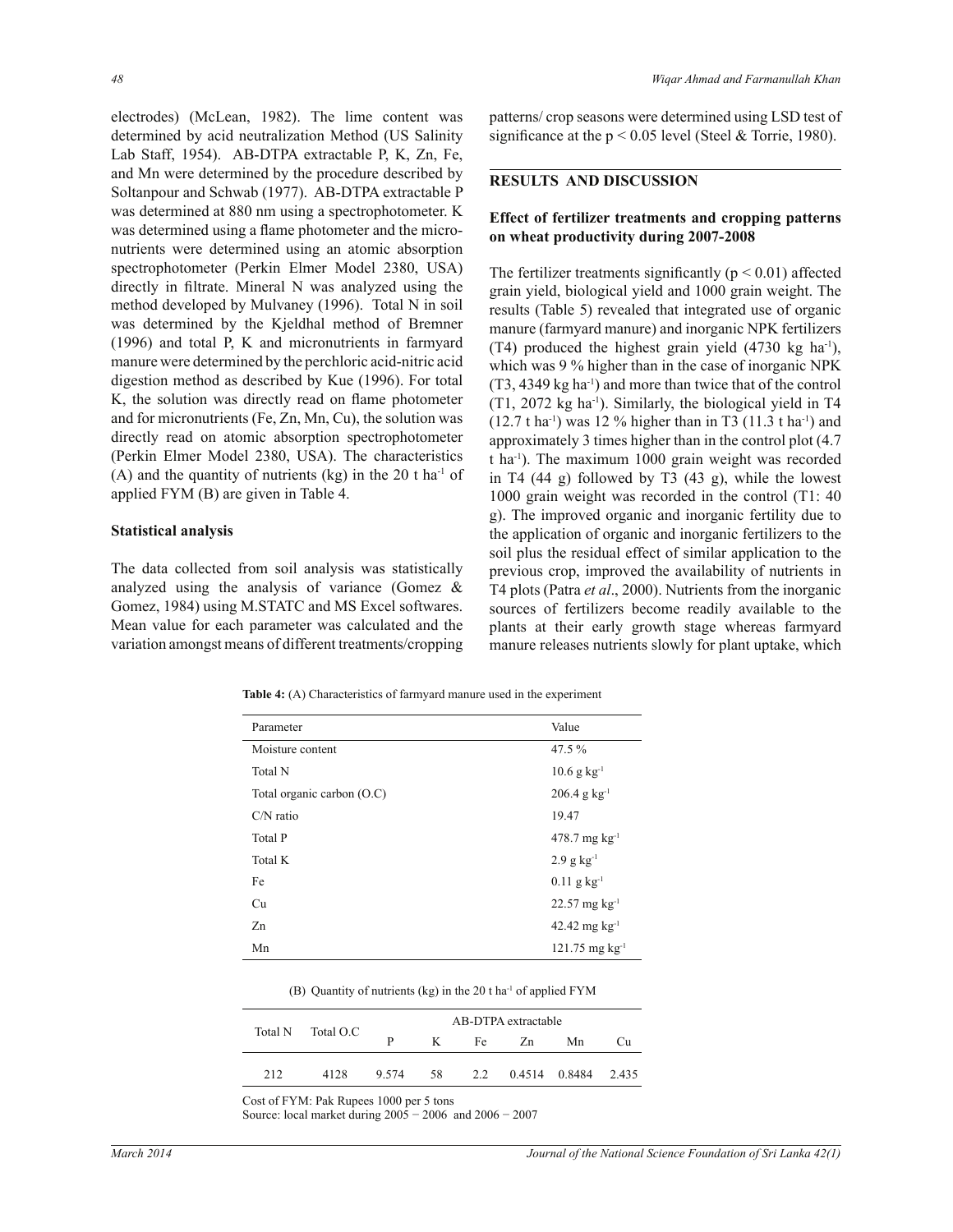electrodes) (McLean, 1982). The lime content was determined by acid neutralization Method (US Salinity Lab Staff, 1954). AB-DTPA extractable P, K, Zn, Fe, and Mn were determined by the procedure described by Soltanpour and Schwab (1977). AB-DTPA extractable P was determined at 880 nm using a spectrophotometer. K was determined using a flame photometer and the micronutrients were determined using an atomic absorption spectrophotometer (Perkin Elmer Model 2380, USA) directly in filtrate. Mineral N was analyzed using the method developed by Mulvaney (1996). Total N in soil was determined by the Kjeldhal method of Bremner (1996) and total P, K and micronutrients in farmyard manure were determined by the perchloric acid-nitric acid digestion method as described by Kue (1996). For total K, the solution was directly read on flame photometer and for micronutrients (Fe, Zn, Mn, Cu), the solution was directly read on atomic absorption spectrophotometer (Perkin Elmer Model 2380, USA). The characteristics (A) and the quantity of nutrients (kg) in the 20 t ha<sup>-1</sup> of applied FYM (B) are given in Table 4.

#### **Statistical analysis**

The data collected from soil analysis was statistically analyzed using the analysis of variance (Gomez & Gomez, 1984) using M.STATC and MS Excel softwares. Mean value for each parameter was calculated and the variation amongst means of different treatments/cropping patterns/ crop seasons were determined using LSD test of significance at the  $p < 0.05$  level (Steel & Torrie, 1980).

#### **RESULTS AND DISCUSSION**

## **Effect of fertilizer treatments and cropping patterns on wheat productivity during 2007-2008**

The fertilizer treatments significantly ( $p < 0.01$ ) affected grain yield, biological yield and 1000 grain weight. The results (Table 5) revealed that integrated use of organic manure (farmyard manure) and inorganic NPK fertilizers (T4) produced the highest grain yield  $(4730 \text{ kg} \text{ ha}^{-1})$ , which was 9 % higher than in the case of inorganic NPK (T3, 4349 kg ha-1) and more than twice that of the control (T1, 2072 kg ha-1). Similarly, the biological yield in T4  $(12.7 \text{ t} \text{ ha}^{-1})$  was 12 % higher than in T3  $(11.3 \text{ t} \text{ ha}^{-1})$  and approximately 3 times higher than in the control plot (4.7 t ha-1). The maximum 1000 grain weight was recorded in T4 (44 g) followed by T3 (43 g), while the lowest 1000 grain weight was recorded in the control (T1: 40 g). The improved organic and inorganic fertility due to the application of organic and inorganic fertilizers to the soil plus the residual effect of similar application to the previous crop, improved the availability of nutrients in T4 plots (Patra *et al*., 2000). Nutrients from the inorganic sources of fertilizers become readily available to the plants at their early growth stage whereas farmyard manure releases nutrients slowly for plant uptake, which

**Table 4:** (A) Characteristics of farmyard manure used in the experiment

| Parameter                    | Value                        |
|------------------------------|------------------------------|
| Moisture content             | 47.5 %                       |
| <b>Total N</b>               | $10.6$ g kg <sup>-1</sup>    |
| Total organic carbon $(O.C)$ | $206.4$ g kg <sup>-1</sup>   |
| $CN$ ratio                   | 19.47                        |
| <b>Total P</b>               | $478.7$ mg kg <sup>-1</sup>  |
| Total K                      | $2.9$ g kg <sup>-1</sup>     |
| Fe                           | $0.11$ g kg <sup>-1</sup>    |
| Cu                           | $22.57$ mg kg <sup>-1</sup>  |
| Zn                           | $42.42$ mg kg <sup>-1</sup>  |
| Mn                           | $121.75$ mg kg <sup>-1</sup> |

(B) Quantity of nutrients (kg) in the 20 t ha-1 of applied FYM

|         |           |       | AB-DTPA extractable |     |    |               |       |  |  |
|---------|-----------|-------|---------------------|-----|----|---------------|-------|--|--|
| Total N | Total O.C | D     | K                   | Fe  | Zn | Mn            | Сπ    |  |  |
| 212     | 4128      | 9.574 | 58                  | 2.2 |    | 0.4514 0.8484 | 2.435 |  |  |

Cost of FYM: Pak Rupees 1000 per 5 tons

Source: local market during 2005 − 2006 and 2006 − 2007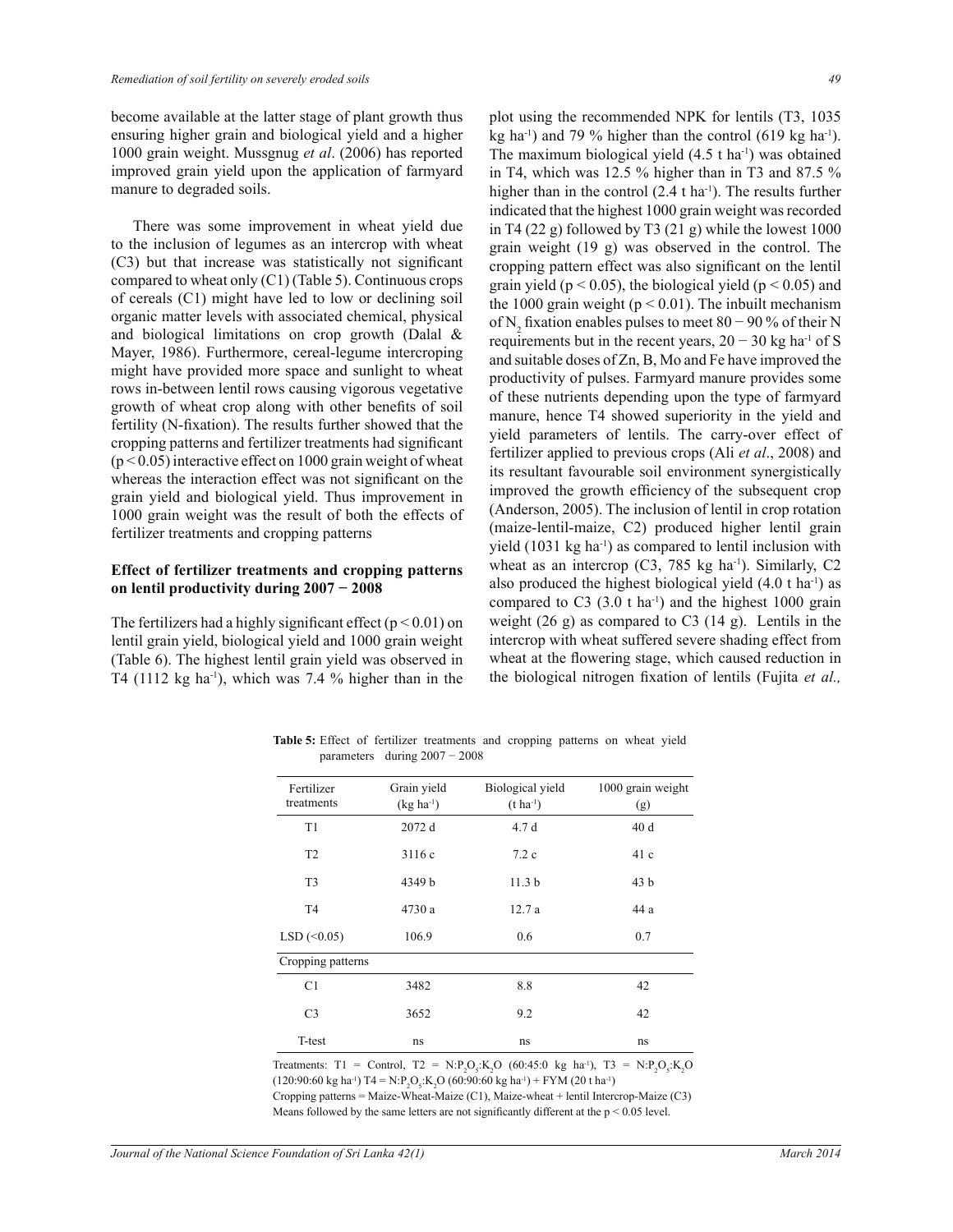become available at the latter stage of plant growth thus ensuring higher grain and biological yield and a higher 1000 grain weight. Mussgnug *et al*. (2006) has reported improved grain yield upon the application of farmyard manure to degraded soils.

 There was some improvement in wheat yield due to the inclusion of legumes as an intercrop with wheat (C3) but that increase was statistically not significant compared to wheat only (C1) (Table 5). Continuous crops of cereals (C1) might have led to low or declining soil organic matter levels with associated chemical, physical and biological limitations on crop growth (Dalal & Mayer, 1986). Furthermore, cereal-legume intercroping might have provided more space and sunlight to wheat rows in-between lentil rows causing vigorous vegetative growth of wheat crop along with other benefits of soil fertility (N-fixation). The results further showed that the cropping patterns and fertilizer treatments had significant  $(p < 0.05)$  interactive effect on 1000 grain weight of wheat whereas the interaction effect was not significant on the grain yield and biological yield. Thus improvement in 1000 grain weight was the result of both the effects of fertilizer treatments and cropping patterns

## **Effect of fertilizer treatments and cropping patterns on lentil productivity during 2007 − 2008**

The fertilizers had a highly significant effect ( $p < 0.01$ ) on lentil grain yield, biological yield and 1000 grain weight (Table 6). The highest lentil grain yield was observed in T4 (1112 kg ha<sup>-1</sup>), which was 7.4 % higher than in the plot using the recommended NPK for lentils (T3, 1035 kg ha<sup>-1</sup>) and 79 % higher than the control (619 kg ha<sup>-1</sup>). The maximum biological yield  $(4.5 \text{ t} \text{ ha}^{-1})$  was obtained in T4, which was 12.5 % higher than in T3 and 87.5 % higher than in the control  $(2.4 \text{ t ha}^{-1})$ . The results further indicated that the highest 1000 grain weight was recorded in T4 (22 g) followed by T3 (21 g) while the lowest  $1000$ grain weight (19 g) was observed in the control. The cropping pattern effect was also significant on the lentil grain yield ( $p < 0.05$ ), the biological yield ( $p < 0.05$ ) and the 1000 grain weight ( $p < 0.01$ ). The inbuilt mechanism of N<sub>2</sub> fixation enables pulses to meet 80 – 90 % of their N requirements but in the recent years,  $20 - 30$  kg ha<sup>-1</sup> of S and suitable doses of Zn, B, Mo and Fe have improved the productivity of pulses. Farmyard manure provides some of these nutrients depending upon the type of farmyard manure, hence T4 showed superiority in the yield and yield parameters of lentils. The carry-over effect of fertilizer applied to previous crops (Ali *et al*., 2008) and its resultant favourable soil environment synergistically improved the growth efficiency of the subsequent crop (Anderson, 2005). The inclusion of lentil in crop rotation (maize-lentil-maize, C2) produced higher lentil grain yield  $(1031 \text{ kg ha}^{-1})$  as compared to lentil inclusion with wheat as an intercrop  $(C3, 785 \text{ kg ha}^{-1})$ . Similarly,  $C2$ also produced the highest biological yield  $(4.0 \text{ t} \text{ ha}^{-1})$  as compared to C3  $(3.0 \text{ t} \text{ ha}^{-1})$  and the highest 1000 grain weight (26 g) as compared to C3 (14 g). Lentils in the intercrop with wheat suffered severe shading effect from wheat at the flowering stage, which caused reduction in the biological nitrogen fixation of lentils (Fujita *et al.,* 

| Fertilizer                     | Grain yield | Biological yield  | 1000 grain weight |
|--------------------------------|-------------|-------------------|-------------------|
| treatments                     | $(kg ha-1)$ | $(t \, ha^{-1})$  | (g)               |
| T <sub>1</sub>                 | 2072 d      | 4.7d              | 40d               |
| T <sub>2</sub>                 | 3116c       | 7.2c              | 41c               |
| T <sub>3</sub>                 | 4349 b      | 11.3 <sub>b</sub> | 43 <sub>b</sub>   |
| T <sub>4</sub>                 | 4730 a      | 12.7a             | 44 a              |
| $LSD \left( \leq 0.05 \right)$ | 106.9       | 0.6               | 0.7               |
| Cropping patterns              |             |                   |                   |
| C1                             | 3482        | 8.8               | 42                |
| C <sub>3</sub>                 | 3652        | 9.2               | 42                |
| T-test                         | ns          | ns                | ns                |

Table 5: Effect of fertilizer treatments and cropping patterns on wheat yield parameters during 2007 − 2008

Treatments: T1 = Control, T2 =  $N \cdot P_2O_5$ : $K_2O$  (60:45:0 kg ha<sup>-1</sup>), T3 =  $N \cdot P_2O_5$ : $K_2O$  $(120.90.60 \text{ kg ha}^{\text{-1}}) \text{ T}4 = \text{N} \cdot \text{P}_2\text{O}_5 \cdot \text{K}_2\text{O} (60.90.60 \text{ kg ha}^{\text{-1}}) + \text{FYM} (20 \text{ t ha}^{\text{-1}})$ Cropping patterns = Maize-Wheat-Maize (C1), Maize-wheat + lentil Intercrop-Maize (C3) Means followed by the same letters are not significantly different at the  $p < 0.05$  level.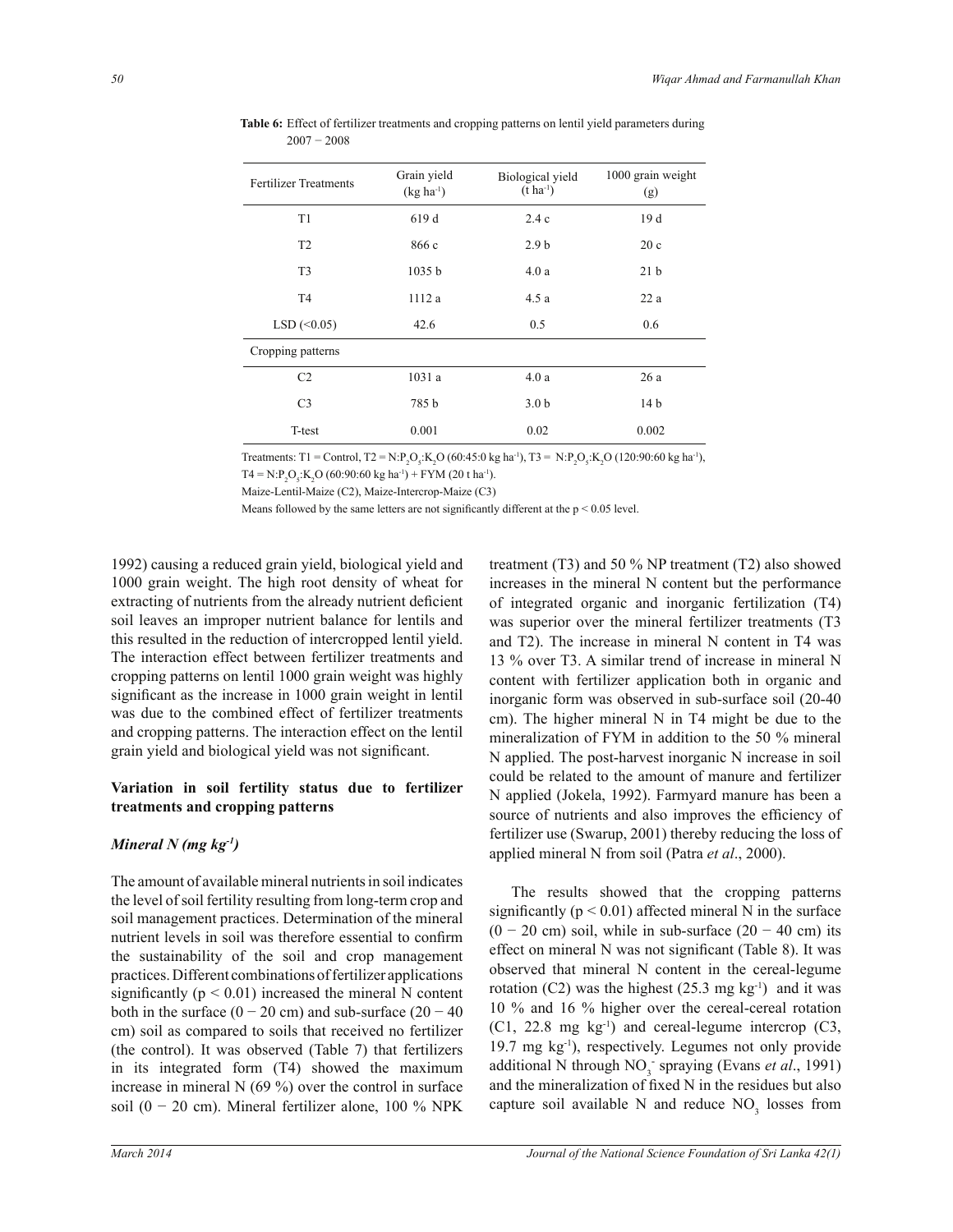| <b>Fertilizer Treatments</b>   | Grain yield<br>$(kg ha^{-1})$ | Biological yield<br>$(t \text{ ha}^{-1})$ | 1000 grain weight<br>(g) |
|--------------------------------|-------------------------------|-------------------------------------------|--------------------------|
| T <sub>1</sub>                 | 619 d                         | 2.4c                                      | 19d                      |
| T2                             | 866 c                         | 2.9 <sub>b</sub>                          | 20c                      |
| T <sub>3</sub>                 | 1035 <sub>b</sub>             | 4.0a                                      | 21 <sub>b</sub>          |
| T <sub>4</sub>                 | 1112 a                        | 4.5a                                      | 22a                      |
| $LSD \left( \leq 0.05 \right)$ | 42.6                          | 0.5                                       | 0.6                      |
| Cropping patterns              |                               |                                           |                          |
| C <sub>2</sub>                 | 1031 a                        | 4.0a                                      | 26a                      |
| C <sub>3</sub>                 | 785 b                         | 3.0 <sub>b</sub>                          | 14 b                     |
| T-test                         | 0.001                         | 0.02                                      | 0.002                    |

**Table 6:** Effect of fertilizer treatments and cropping patterns on lentil yield parameters during 2007 − 2008

Treatments: T1 = Control, T2 = N:P<sub>2</sub>O<sub>5</sub>:K<sub>2</sub>O (60:45:0 kg ha<sup>-1</sup>), T3 = N:P<sub>2</sub>O<sub>5</sub>:K<sub>2</sub>O (120:90:60 kg ha<sup>-1</sup>),

 $T4 = N:P_2O_5$ :K<sub>2</sub>O (60:90:60 kg ha<sup>-1</sup>) + FYM (20 t ha<sup>-1</sup>).

Maize-Lentil-Maize (C2), Maize-Intercrop-Maize (C3)

Means followed by the same letters are not significantly different at the  $p < 0.05$  level.

1992) causing a reduced grain yield, biological yield and 1000 grain weight. The high root density of wheat for extracting of nutrients from the already nutrient deficient soil leaves an improper nutrient balance for lentils and this resulted in the reduction of intercropped lentil yield. The interaction effect between fertilizer treatments and cropping patterns on lentil 1000 grain weight was highly significant as the increase in 1000 grain weight in lentil was due to the combined effect of fertilizer treatments and cropping patterns. The interaction effect on the lentil grain yield and biological yield was not significant.

## **Variation in soil fertility status due to fertilizer treatments and cropping patterns**

## *Mineral N (mg kg-1)*

The amount of available mineral nutrients in soil indicates the level of soil fertility resulting from long-term crop and soil management practices. Determination of the mineral nutrient levels in soil was therefore essential to confirm the sustainability of the soil and crop management practices. Different combinations of fertilizer applications significantly  $(p < 0.01)$  increased the mineral N content both in the surface  $(0 - 20 \text{ cm})$  and sub-surface  $(20 - 40 \text{ cm})$ cm) soil as compared to soils that received no fertilizer (the control). It was observed (Table 7) that fertilizers in its integrated form (T4) showed the maximum increase in mineral  $N(69%)$  over the control in surface soil (0 − 20 cm). Mineral fertilizer alone, 100 % NPK

treatment (T3) and 50 % NP treatment (T2) also showed increases in the mineral N content but the performance of integrated organic and inorganic fertilization (T4) was superior over the mineral fertilizer treatments (T3 and T2). The increase in mineral N content in T4 was 13 % over T3. A similar trend of increase in mineral N content with fertilizer application both in organic and inorganic form was observed in sub-surface soil (20-40 cm). The higher mineral N in T4 might be due to the mineralization of FYM in addition to the 50 % mineral N applied. The post-harvest inorganic N increase in soil could be related to the amount of manure and fertilizer N applied (Jokela, 1992). Farmyard manure has been a source of nutrients and also improves the efficiency of fertilizer use (Swarup, 2001) thereby reducing the loss of applied mineral N from soil (Patra *et al*., 2000).

 The results showed that the cropping patterns significantly ( $p < 0.01$ ) affected mineral N in the surface  $(0 - 20$  cm) soil, while in sub-surface  $(20 - 40$  cm) its effect on mineral N was not significant (Table 8). It was observed that mineral N content in the cereal-legume rotation (C2) was the highest (25.3 mg kg<sup>-1</sup>) and it was 10 % and 16 % higher over the cereal-cereal rotation  $(C1, 22.8 \text{ mg kg}^{-1})$  and cereal-legume intercrop  $(C3, 12.8 \text{ mg kg}^{-1})$ 19.7 mg kg-1), respectively. Legumes not only provide additional N through NO<sub>3</sub> spraying (Evans *et al.*, 1991) and the mineralization of fixed N in the residues but also capture soil available N and reduce  $NO<sub>3</sub>$  losses from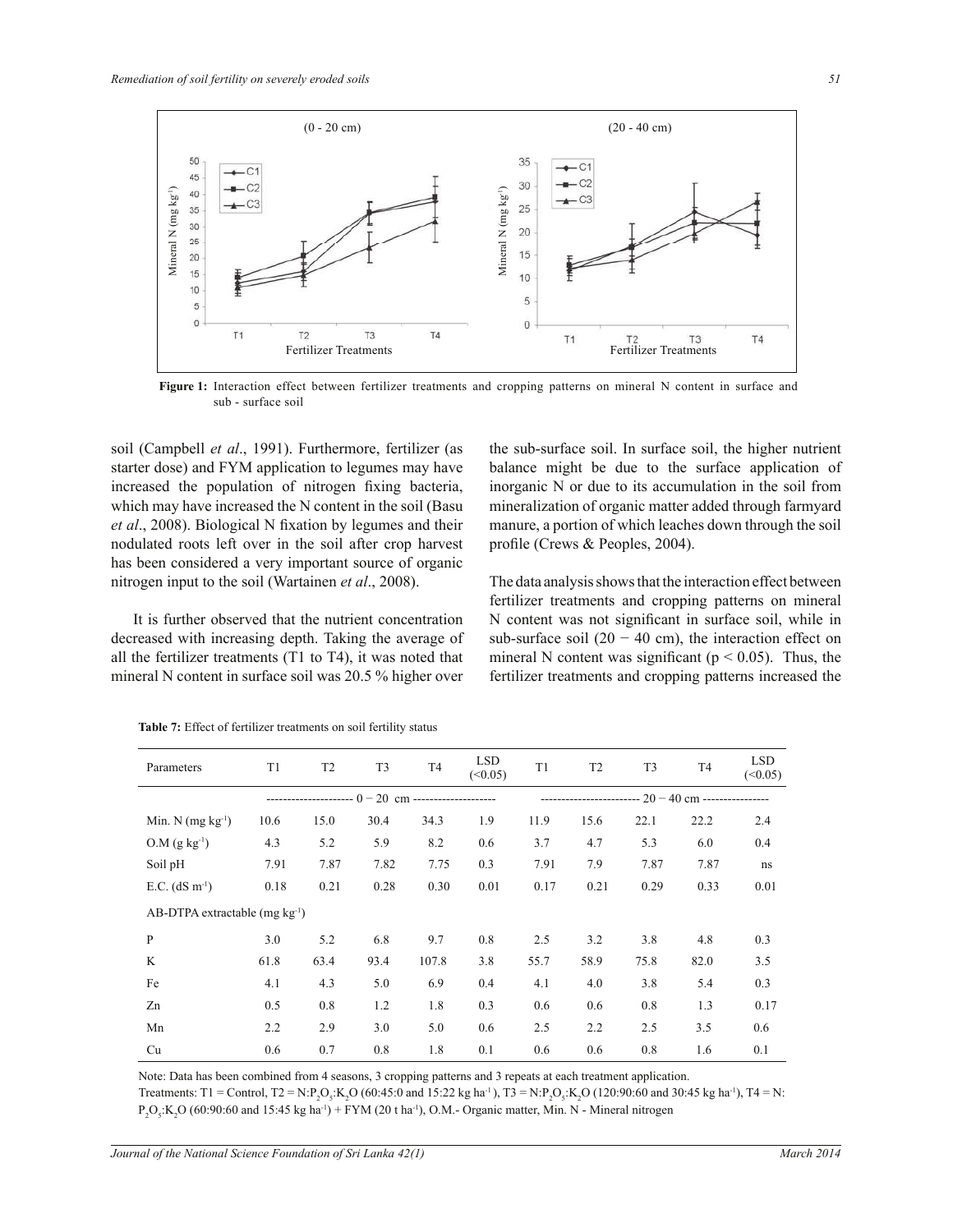

**Figure 1:** Interaction effect between fertilizer treatments and cropping patterns on mineral N content in surface and sub - surface soil

soil (Campbell *et al*., 1991). Furthermore, fertilizer (as starter dose) and FYM application to legumes may have increased the population of nitrogen fixing bacteria, which may have increased the N content in the soil (Basu *et al*., 2008). Biological N fixation by legumes and their nodulated roots left over in the soil after crop harvest has been considered a very important source of organic nitrogen input to the soil (Wartainen *et al*., 2008).

 It is further observed that the nutrient concentration decreased with increasing depth. Taking the average of all the fertilizer treatments (T1 to T4), it was noted that mineral N content in surface soil was 20.5 % higher over

the sub-surface soil. In surface soil, the higher nutrient balance might be due to the surface application of inorganic N or due to its accumulation in the soil from mineralization of organic matter added through farmyard manure, a portion of which leaches down through the soil profile (Crews & Peoples, 2004).

The data analysis shows that the interaction effect between fertilizer treatments and cropping patterns on mineral N content was not significant in surface soil, while in sub-surface soil  $(20 - 40$  cm), the interaction effect on mineral N content was significant ( $p < 0.05$ ). Thus, the fertilizer treatments and cropping patterns increased the

| Parameters                                 | T1   | T <sub>2</sub> | T <sub>3</sub> | T <sub>4</sub> | <b>LSD</b><br>(<0.05) | T1   | T <sub>2</sub> | T <sub>3</sub>                                          | T <sub>4</sub> | <b>LSD</b><br>(<0.05) |
|--------------------------------------------|------|----------------|----------------|----------------|-----------------------|------|----------------|---------------------------------------------------------|----------------|-----------------------|
|                                            |      |                |                |                |                       |      |                | ------------------------- $20 - 40$ cm ---------------- |                |                       |
| Min. $N$ (mg $kg^{-1}$ )                   | 10.6 | 15.0           | 30.4           | 34.3           | 1.9                   | 11.9 | 15.6           | 22.1                                                    | 22.2           | 2.4                   |
| $O.M (g kg-1)$                             | 4.3  | 5.2            | 5.9            | 8.2            | 0.6                   | 3.7  | 4.7            | 5.3                                                     | 6.0            | 0.4                   |
| Soil pH                                    | 7.91 | 7.87           | 7.82           | 7.75           | 0.3                   | 7.91 | 7.9            | 7.87                                                    | 7.87           | ns                    |
| E.C. $(dS \, m^{-1})$                      | 0.18 | 0.21           | 0.28           | 0.30           | 0.01                  | 0.17 | 0.21           | 0.29                                                    | 0.33           | 0.01                  |
| AB-DTPA extractable (mg kg <sup>-1</sup> ) |      |                |                |                |                       |      |                |                                                         |                |                       |
| P                                          | 3.0  | 5.2            | 6.8            | 9.7            | 0.8                   | 2.5  | 3.2            | 3.8                                                     | 4.8            | 0.3                   |
| K                                          | 61.8 | 63.4           | 93.4           | 107.8          | 3.8                   | 55.7 | 58.9           | 75.8                                                    | 82.0           | 3.5                   |
| Fe                                         | 4.1  | 4.3            | 5.0            | 6.9            | 0.4                   | 4.1  | 4.0            | 3.8                                                     | 5.4            | 0.3                   |
| Zn                                         | 0.5  | 0.8            | 1.2            | 1.8            | 0.3                   | 0.6  | 0.6            | 0.8                                                     | 1.3            | 0.17                  |
| Mn                                         | 2.2  | 2.9            | 3.0            | 5.0            | 0.6                   | 2.5  | 2.2            | 2.5                                                     | 3.5            | 0.6                   |
| Cu                                         | 0.6  | 0.7            | 0.8            | 1.8            | 0.1                   | 0.6  | 0.6            | 0.8                                                     | 1.6            | 0.1                   |

**Table 7:** Effect of fertilizer treatments on soil fertility status

Note: Data has been combined from 4 seasons, 3 cropping patterns and 3 repeats at each treatment application.

Treatments: T1 = Control, T2 = N:P<sub>2</sub>O<sub>5</sub>:K<sub>2</sub>O (60:45:0 and 15:22 kg ha<sup>-1</sup>), T3 = N:P<sub>2</sub>O<sub>5</sub>:K<sub>2</sub>O (120:90:60 and 30:45 kg ha<sup>-1</sup>), T4 = N:  $P_2O_5$ :K<sub>2</sub>O (60:90:60 and 15:45 kg ha<sup>-1</sup>) + FYM (20 t ha<sup>-1</sup>), O.M.- Organic matter, Min. N - Mineral nitrogen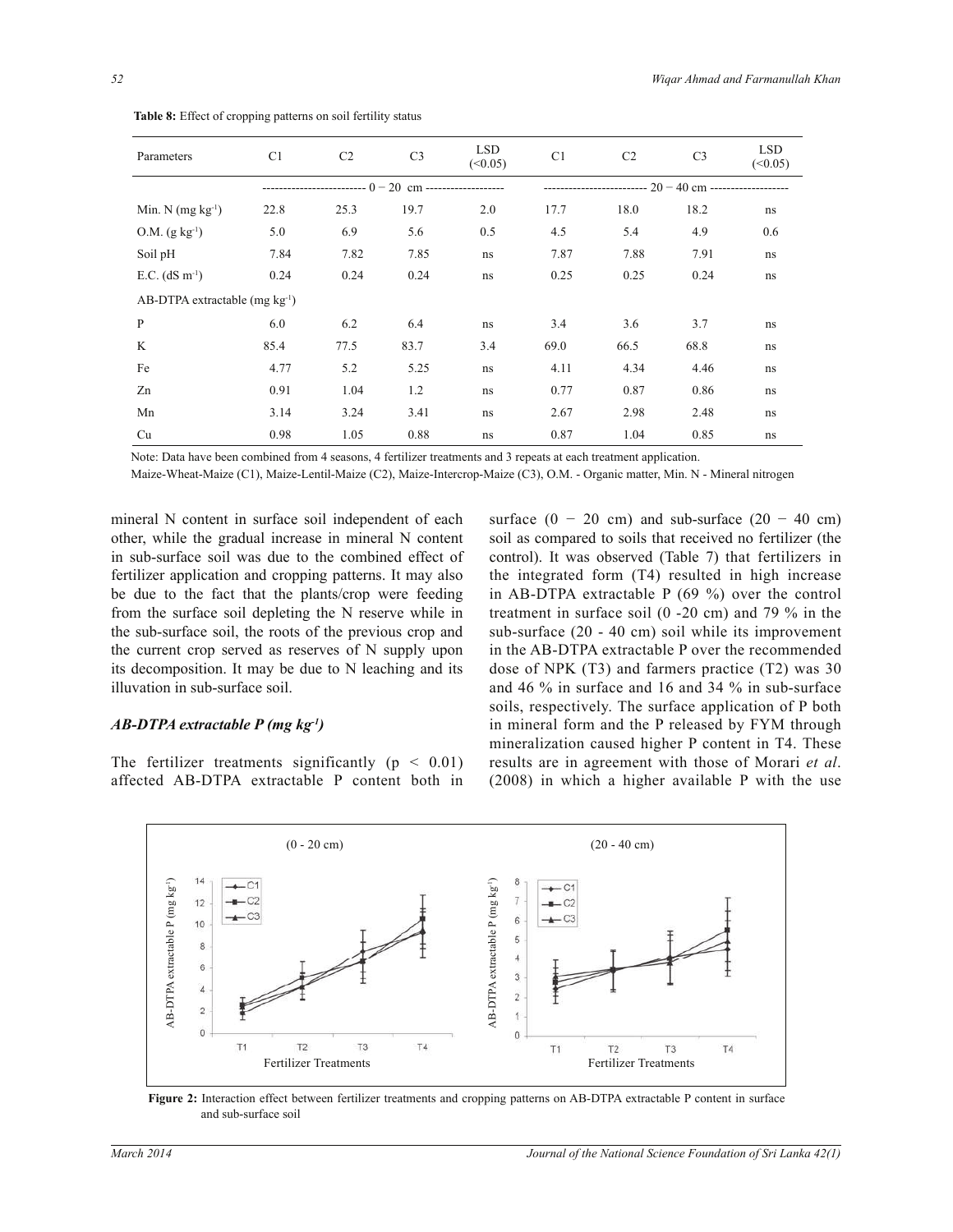| Parameters                      | C <sub>1</sub> | C <sub>2</sub> | C <sub>3</sub> | <b>LSD</b><br>(<0.05)                                       | C <sub>1</sub> | C <sub>2</sub> | C <sub>3</sub> | <b>LSD</b><br>(<0.05) |
|---------------------------------|----------------|----------------|----------------|-------------------------------------------------------------|----------------|----------------|----------------|-----------------------|
|                                 |                |                |                | -------------------------- $20 - 40$ cm ------------------- |                |                |                |                       |
| Min. N $(mg kg-1)$              | 22.8           | 25.3           | 19.7           | 2.0                                                         | 17.7           | 18.0           | 18.2           | ns                    |
| $O.M. (g kg-1)$                 | 5.0            | 6.9            | 5.6            | 0.5                                                         | 4.5            | 5.4            | 4.9            | 0.6                   |
| Soil pH                         | 7.84           | 7.82           | 7.85           | ns                                                          | 7.87           | 7.88           | 7.91           | ns                    |
| E.C. $(dS m^{-1})$              | 0.24           | 0.24           | 0.24           | ns                                                          | 0.25           | 0.25           | 0.24           | ns                    |
| AB-DTPA extractable $(mg kg-1)$ |                |                |                |                                                             |                |                |                |                       |
| P                               | 6.0            | 6.2            | 6.4            | ns                                                          | 3.4            | 3.6            | 3.7            | ns                    |
| K                               | 85.4           | 77.5           | 83.7           | 3.4                                                         | 69.0           | 66.5           | 68.8           | ns                    |
| Fe                              | 4.77           | 5.2            | 5.25           | ns                                                          | 4.11           | 4.34           | 4.46           | ns                    |
| Zn                              | 0.91           | 1.04           | 1.2            | ns                                                          | 0.77           | 0.87           | 0.86           | ns                    |
| Mn                              | 3.14           | 3.24           | 3.41           | ns                                                          | 2.67           | 2.98           | 2.48           | ns                    |
| Cu                              | 0.98           | 1.05           | 0.88           | ns                                                          | 0.87           | 1.04           | 0.85           | ns                    |

**Table 8:** Effect of cropping patterns on soil fertility status

Note: Data have been combined from 4 seasons, 4 fertilizer treatments and 3 repeats at each treatment application.

Maize-Wheat-Maize (C1), Maize-Lentil-Maize (C2), Maize-Intercrop-Maize (C3), O.M. - Organic matter, Min. N - Mineral nitrogen

mineral N content in surface soil independent of each other, while the gradual increase in mineral N content in sub-surface soil was due to the combined effect of fertilizer application and cropping patterns. It may also be due to the fact that the plants/crop were feeding from the surface soil depleting the N reserve while in the sub-surface soil, the roots of the previous crop and the current crop served as reserves of N supply upon its decomposition. It may be due to N leaching and its illuvation in sub-surface soil.

#### *AB-DTPA extractable P (mg kg-1)*

The fertilizer treatments significantly ( $p < 0.01$ ) affected AB-DTPA extractable P content both in surface  $(0 - 20$  cm) and sub-surface  $(20 - 40$  cm) soil as compared to soils that received no fertilizer (the control). It was observed (Table 7) that fertilizers in the integrated form (T4) resulted in high increase in AB-DTPA extractable P (69 %) over the control treatment in surface soil (0 -20 cm) and 79 % in the sub-surface (20 - 40 cm) soil while its improvement in the AB-DTPA extractable P over the recommended dose of NPK (T3) and farmers practice (T2) was 30 and 46 % in surface and 16 and 34 % in sub-surface soils, respectively. The surface application of P both in mineral form and the P released by FYM through mineralization caused higher P content in T4. These results are in agreement with those of Morari *et al*. (2008) in which a higher available P with the use



**Figure 2:** Interaction effect between fertilizer treatments and cropping patterns on AB-DTPA extractable P content in surface and sub-surface soil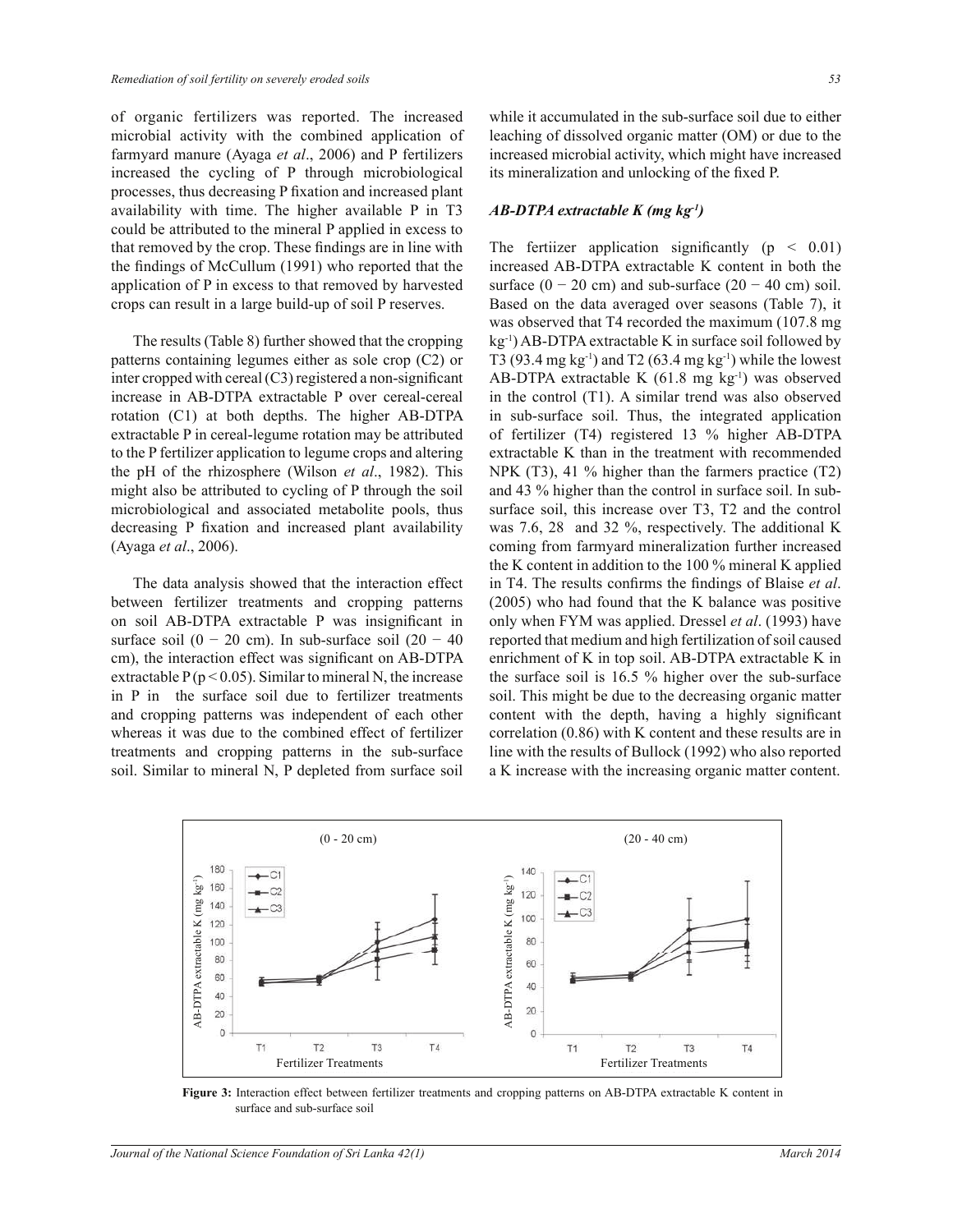of organic fertilizers was reported. The increased microbial activity with the combined application of farmyard manure (Ayaga *et al*., 2006) and P fertilizers increased the cycling of P through microbiological processes, thus decreasing P fixation and increased plant availability with time. The higher available P in T3 could be attributed to the mineral P applied in excess to that removed by the crop. These findings are in line with the findings of McCullum (1991) who reported that the application of P in excess to that removed by harvested crops can result in a large build-up of soil P reserves.

 The results (Table 8) further showed that the cropping patterns containing legumes either as sole crop (C2) or inter cropped with cereal (C3) registered a non-significant increase in AB-DTPA extractable P over cereal-cereal rotation (C1) at both depths. The higher AB-DTPA extractable P in cereal-legume rotation may be attributed to the P fertilizer application to legume crops and altering the pH of the rhizosphere (Wilson *et al*., 1982). This might also be attributed to cycling of P through the soil microbiological and associated metabolite pools, thus decreasing P fixation and increased plant availability (Ayaga *et al*., 2006).

 The data analysis showed that the interaction effect between fertilizer treatments and cropping patterns on soil AB-DTPA extractable P was insignificant in surface soil (0 − 20 cm). In sub-surface soil (20 − 40 cm), the interaction effect was significant on AB-DTPA extractable  $P(p < 0.05)$ . Similar to mineral N, the increase in P in the surface soil due to fertilizer treatments and cropping patterns was independent of each other whereas it was due to the combined effect of fertilizer treatments and cropping patterns in the sub-surface soil. Similar to mineral N, P depleted from surface soil while it accumulated in the sub-surface soil due to either leaching of dissolved organic matter (OM) or due to the increased microbial activity, which might have increased its mineralization and unlocking of the fixed P.

#### *AB-DTPA extractable K (mg kg-1)*

The fertiizer application significantly ( $p \leq 0.01$ ) increased AB-DTPA extractable K content in both the surface  $(0 - 20$  cm) and sub-surface  $(20 - 40$  cm) soil. Based on the data averaged over seasons (Table 7), it was observed that T4 recorded the maximum (107.8 mg kg-1) AB-DTPA extractable K in surface soil followed by T3 (93.4 mg kg<sup>-1</sup>) and T2 (63.4 mg kg<sup>-1</sup>) while the lowest AB-DTPA extractable K  $(61.8 \text{ mg kg}^{-1})$  was observed in the control (T1). A similar trend was also observed in sub-surface soil. Thus, the integrated application of fertilizer (T4) registered 13 % higher AB-DTPA extractable K than in the treatment with recommended NPK (T3), 41 % higher than the farmers practice (T2) and 43 % higher than the control in surface soil. In subsurface soil, this increase over T3, T2 and the control was 7.6, 28 and 32 %, respectively. The additional K coming from farmyard mineralization further increased the K content in addition to the 100 % mineral K applied in T4. The results confirms the findings of Blaise *et al*. (2005) who had found that the K balance was positive only when FYM was applied. Dressel *et al*. (1993) have reported that medium and high fertilization of soil caused enrichment of K in top soil. AB-DTPA extractable K in the surface soil is 16.5 % higher over the sub-surface soil. This might be due to the decreasing organic matter content with the depth, having a highly significant correlation (0.86) with K content and these results are in line with the results of Bullock (1992) who also reported a K increase with the increasing organic matter content.



**Figure 3:** Interaction effect between fertilizer treatments and cropping patterns on AB-DTPA extractable K content in surface and sub-surface soil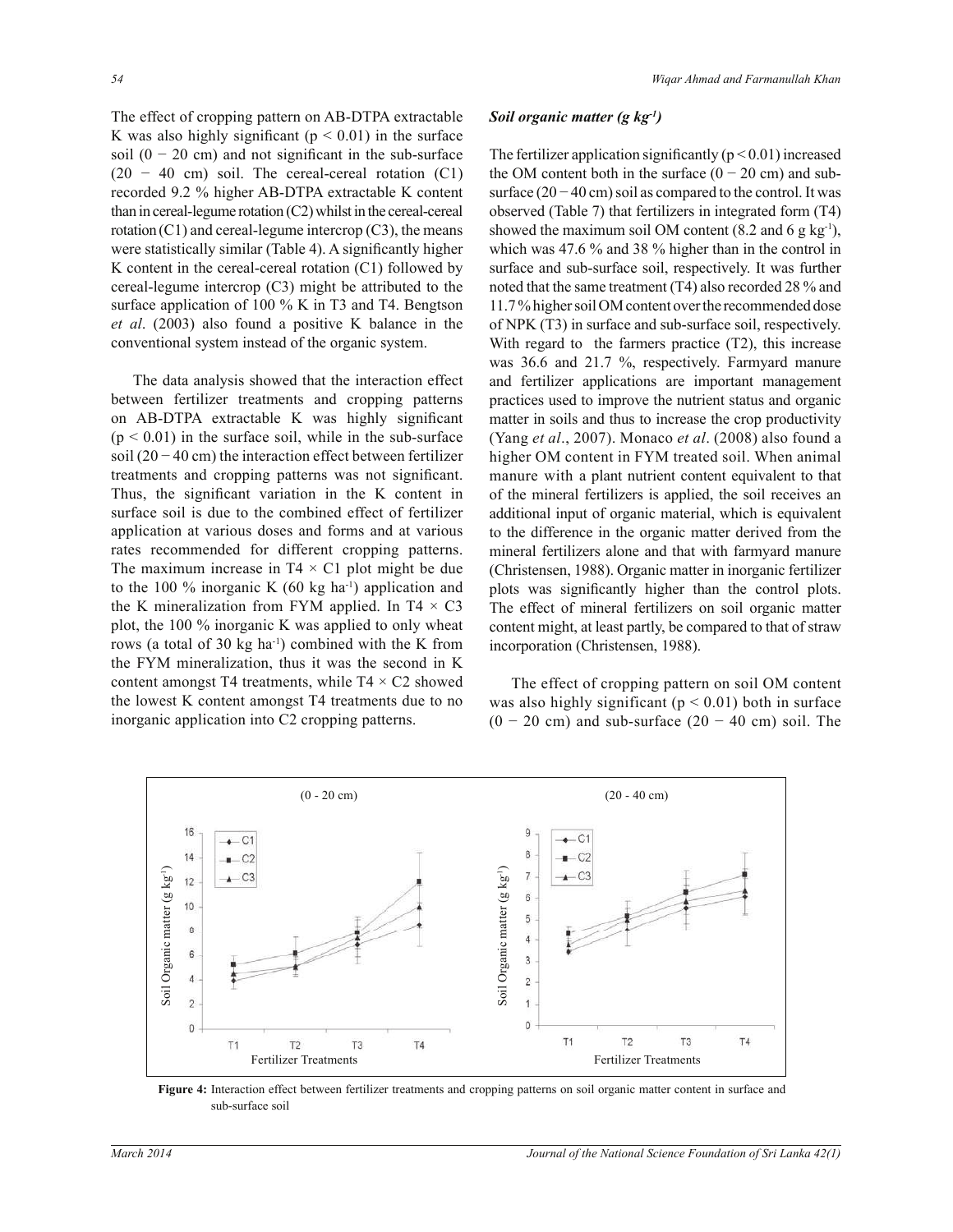The effect of cropping pattern on AB-DTPA extractable K was also highly significant ( $p < 0.01$ ) in the surface soil  $(0 - 20$  cm) and not significant in the sub-surface  $(20 - 40$  cm) soil. The cereal-cereal rotation  $(C1)$ recorded 9.2 % higher AB-DTPA extractable K content than in cereal-legume rotation (C2) whilst in the cereal-cereal rotation  $(C1)$  and cereal-legume intercrop  $(C3)$ , the means were statistically similar (Table 4). A significantly higher K content in the cereal-cereal rotation (C1) followed by cereal-legume intercrop (C3) might be attributed to the surface application of 100 % K in T3 and T4. Bengtson *et al*. (2003) also found a positive K balance in the conventional system instead of the organic system.

 The data analysis showed that the interaction effect between fertilizer treatments and cropping patterns on AB-DTPA extractable K was highly significant  $(p < 0.01)$  in the surface soil, while in the sub-surface soil (20 − 40 cm) the interaction effect between fertilizer treatments and cropping patterns was not significant. Thus, the significant variation in the K content in surface soil is due to the combined effect of fertilizer application at various doses and forms and at various rates recommended for different cropping patterns. The maximum increase in  $T4 \times C1$  plot might be due to the 100 % inorganic K  $(60 \text{ kg ha}^{-1})$  application and the K mineralization from FYM applied. In T4  $\times$  C3 plot, the 100 % inorganic K was applied to only wheat rows (a total of 30 kg ha<sup>-1</sup>) combined with the K from the FYM mineralization, thus it was the second in K content amongst T4 treatments, while  $T4 \times C2$  showed the lowest K content amongst T4 treatments due to no inorganic application into C2 cropping patterns.

## *Soil organic matter (g kg-1)*

The fertilizer application significantly  $(p < 0.01)$  increased the OM content both in the surface  $(0 - 20$  cm) and subsurface  $(20 - 40 \text{ cm})$  soil as compared to the control. It was observed (Table 7) that fertilizers in integrated form (T4) showed the maximum soil OM content  $(8.2 \text{ and } 6 \text{ g kg}^{-1})$ , which was 47.6 % and 38 % higher than in the control in surface and sub-surface soil, respectively. It was further noted that the same treatment (T4) also recorded 28 % and 11.7 % higher soil OM content over the recommended dose of NPK (T3) in surface and sub-surface soil, respectively. With regard to the farmers practice (T2), this increase was 36.6 and 21.7 %, respectively. Farmyard manure and fertilizer applications are important management practices used to improve the nutrient status and organic matter in soils and thus to increase the crop productivity (Yang *et al*., 2007). Monaco *et al*. (2008) also found a higher OM content in FYM treated soil. When animal manure with a plant nutrient content equivalent to that of the mineral fertilizers is applied, the soil receives an additional input of organic material, which is equivalent to the difference in the organic matter derived from the mineral fertilizers alone and that with farmyard manure (Christensen, 1988). Organic matter in inorganic fertilizer plots was significantly higher than the control plots. The effect of mineral fertilizers on soil organic matter content might, at least partly, be compared to that of straw incorporation (Christensen, 1988).

 The effect of cropping pattern on soil OM content was also highly significant ( $p < 0.01$ ) both in surface  $(0 - 20$  cm) and sub-surface  $(20 - 40$  cm) soil. The



**Figure 4:** Interaction effect between fertilizer treatments and cropping patterns on soil organic matter content in surface and sub-surface soil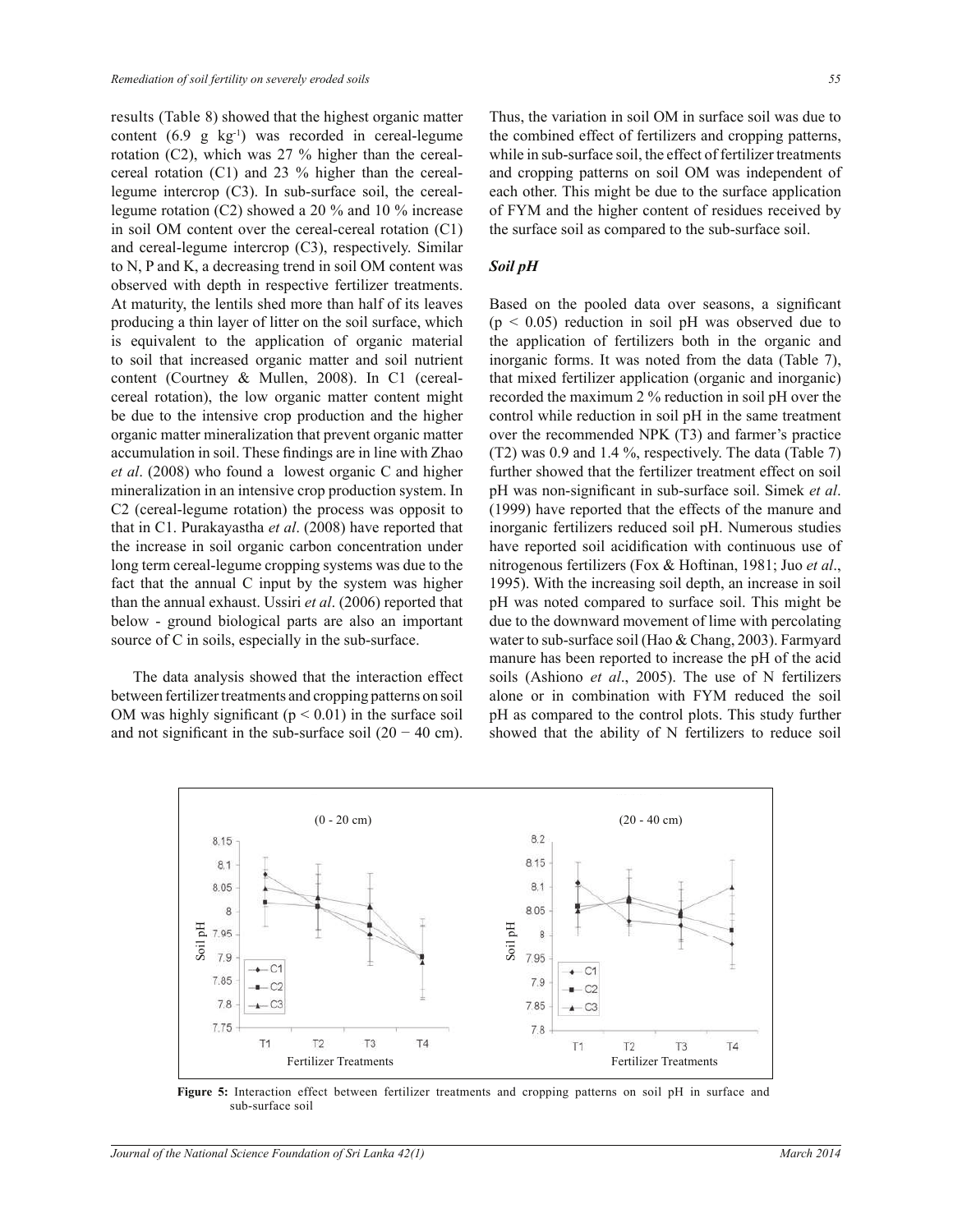results (Table 8) showed that the highest organic matter content  $(6.9 \text{ g kg}^{-1})$  was recorded in cereal-legume rotation (C2), which was 27 % higher than the cerealcereal rotation (C1) and 23 % higher than the cereallegume intercrop (C3). In sub-surface soil, the cereallegume rotation (C2) showed a 20 % and 10 % increase in soil OM content over the cereal-cereal rotation (C1) and cereal-legume intercrop (C3), respectively. Similar to N, P and K, a decreasing trend in soil OM content was observed with depth in respective fertilizer treatments. At maturity, the lentils shed more than half of its leaves producing a thin layer of litter on the soil surface, which is equivalent to the application of organic material to soil that increased organic matter and soil nutrient content (Courtney & Mullen, 2008). In C1 (cerealcereal rotation), the low organic matter content might be due to the intensive crop production and the higher organic matter mineralization that prevent organic matter accumulation in soil. These findings are in line with Zhao *et al*. (2008) who found a lowest organic C and higher mineralization in an intensive crop production system. In C2 (cereal-legume rotation) the process was opposit to that in C1. Purakayastha *et al*. (2008) have reported that the increase in soil organic carbon concentration under long term cereal-legume cropping systems was due to the fact that the annual C input by the system was higher than the annual exhaust. Ussiri *et al*. (2006) reported that below - ground biological parts are also an important source of C in soils, especially in the sub-surface.

 The data analysis showed that the interaction effect between fertilizer treatments and cropping patterns on soil OM was highly significant ( $p < 0.01$ ) in the surface soil and not significant in the sub-surface soil  $(20 - 40 \text{ cm})$ . Thus, the variation in soil OM in surface soil was due to the combined effect of fertilizers and cropping patterns, while in sub-surface soil, the effect of fertilizer treatments and cropping patterns on soil OM was independent of each other. This might be due to the surface application of FYM and the higher content of residues received by the surface soil as compared to the sub-surface soil.

#### *Soil pH*

Based on the pooled data over seasons, a significant  $(p < 0.05)$  reduction in soil pH was observed due to the application of fertilizers both in the organic and inorganic forms. It was noted from the data (Table 7), that mixed fertilizer application (organic and inorganic) recorded the maximum 2 % reduction in soil pH over the control while reduction in soil pH in the same treatment over the recommended NPK (T3) and farmer's practice (T2) was 0.9 and 1.4 %, respectively. The data (Table 7) further showed that the fertilizer treatment effect on soil pH was non-significant in sub-surface soil. Simek *et al*. (1999) have reported that the effects of the manure and inorganic fertilizers reduced soil pH. Numerous studies have reported soil acidification with continuous use of nitrogenous fertilizers (Fox & Hoftinan, 1981; Juo *et al*., 1995). With the increasing soil depth, an increase in soil pH was noted compared to surface soil. This might be due to the downward movement of lime with percolating water to sub-surface soil (Hao & Chang, 2003). Farmyard manure has been reported to increase the pH of the acid soils (Ashiono *et al*., 2005). The use of N fertilizers alone or in combination with FYM reduced the soil pH as compared to the control plots. This study further showed that the ability of N fertilizers to reduce soil



**Figure 5:** Interaction effect between fertilizer treatments and cropping patterns on soil pH in surface and sub-surface soil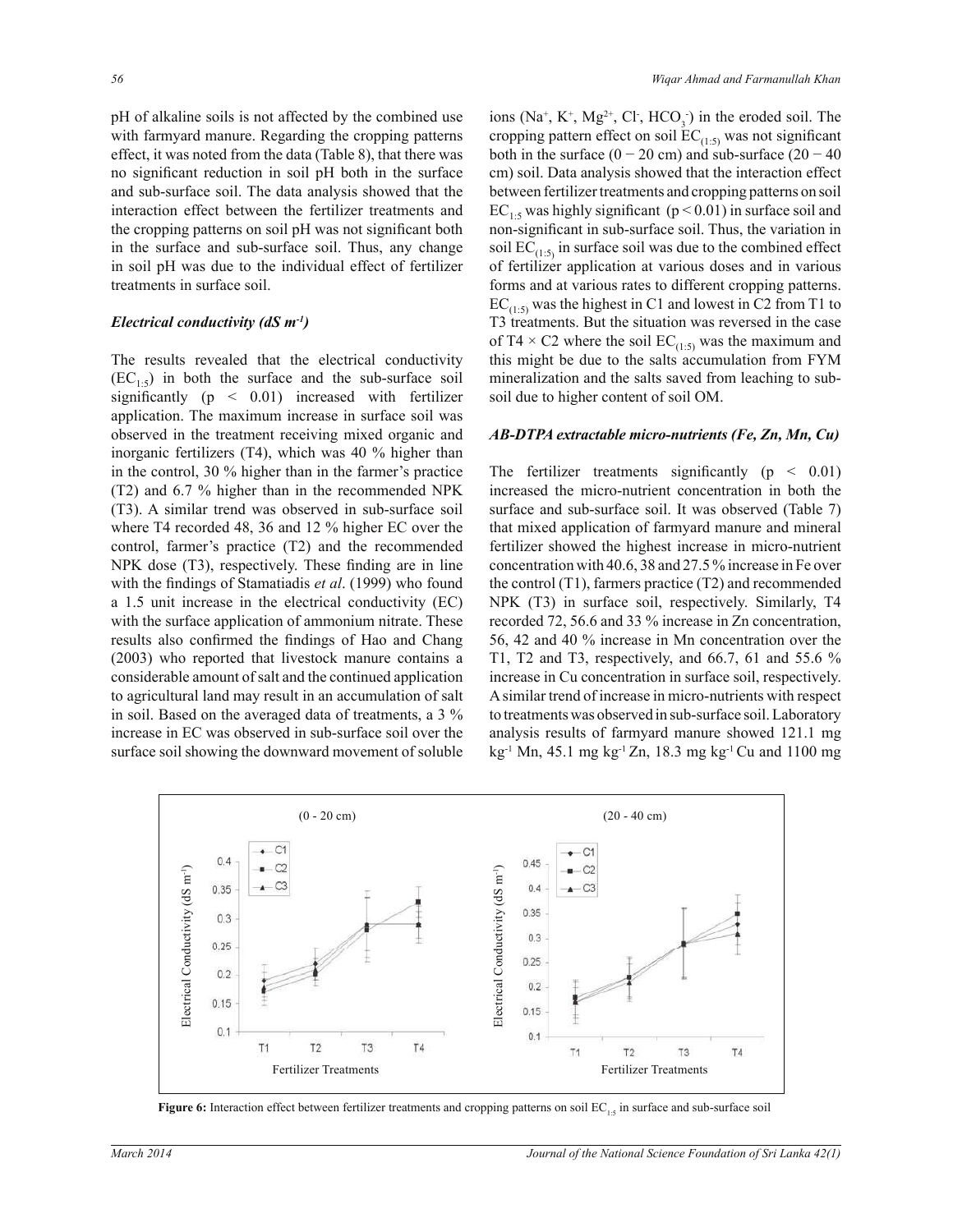pH of alkaline soils is not affected by the combined use with farmyard manure. Regarding the cropping patterns effect, it was noted from the data (Table 8), that there was no significant reduction in soil pH both in the surface and sub-surface soil. The data analysis showed that the interaction effect between the fertilizer treatments and the cropping patterns on soil pH was not significant both in the surface and sub-surface soil. Thus, any change in soil pH was due to the individual effect of fertilizer treatments in surface soil.

#### *Electrical conductivity (dS m-1)*

The results revealed that the electrical conductivity  $(EC_{1.5})$  in both the surface and the sub-surface soil significantly  $(p \leq 0.01)$  increased with fertilizer application. The maximum increase in surface soil was observed in the treatment receiving mixed organic and inorganic fertilizers (T4), which was 40 % higher than in the control, 30 % higher than in the farmer's practice (T2) and 6.7 % higher than in the recommended NPK (T3). A similar trend was observed in sub-surface soil where T4 recorded 48, 36 and 12 % higher EC over the control, farmer's practice (T2) and the recommended NPK dose (T3), respectively. These finding are in line with the findings of Stamatiadis *et al*. (1999) who found a 1.5 unit increase in the electrical conductivity (EC) with the surface application of ammonium nitrate. These results also confirmed the findings of Hao and Chang (2003) who reported that livestock manure contains a considerable amount of salt and the continued application to agricultural land may result in an accumulation of salt in soil. Based on the averaged data of treatments, a 3 % increase in EC was observed in sub-surface soil over the surface soil showing the downward movement of soluble

ions ( $Na^+$ ,  $K^+$ ,  $Mg^{2+}$ ,  $Cl^-$ ,  $HCO_3^-$ ) in the eroded soil. The cropping pattern effect on soil  $EC_{(1:5)}$  was not significant both in the surface  $(0 - 20 \text{ cm})$  and sub-surface  $(20 - 40 \text{ cm})$ cm) soil. Data analysis showed that the interaction effect between fertilizer treatments and cropping patterns on soil  $EC_{1.5}$  was highly significant (p < 0.01) in surface soil and non-significant in sub-surface soil. Thus, the variation in soil  $EC_{(1:5)}$  in surface soil was due to the combined effect of fertilizer application at various doses and in various forms and at various rates to different cropping patterns.  $EC_{(1:5)}$  was the highest in C1 and lowest in C2 from T1 to T3 treatments. But the situation was reversed in the case of T4  $\times$  C2 where the soil EC<sub>(1:5)</sub> was the maximum and this might be due to the salts accumulation from FYM mineralization and the salts saved from leaching to subsoil due to higher content of soil OM.

#### *AB-DTPA extractable micro-nutrients (Fe, Zn, Mn, Cu)*

The fertilizer treatments significantly  $(p < 0.01)$ increased the micro-nutrient concentration in both the surface and sub-surface soil. It was observed (Table 7) that mixed application of farmyard manure and mineral fertilizer showed the highest increase in micro-nutrient concentration with 40.6, 38 and 27.5 % increase in Fe over the control (T1), farmers practice (T2) and recommended NPK (T3) in surface soil, respectively. Similarly, T4 recorded 72, 56.6 and 33 % increase in Zn concentration, 56, 42 and 40 % increase in Mn concentration over the T1, T2 and T3, respectively, and 66.7, 61 and 55.6 % increase in Cu concentration in surface soil, respectively. A similar trend of increase in micro-nutrients with respect to treatments was observed in sub-surface soil. Laboratory analysis results of farmyard manure showed 121.1 mg kg-1 Mn, 45.1 mg kg-1 Zn, 18.3 mg kg-1 Cu and 1100 mg



**Figure 6:** Interaction effect between fertilizer treatments and cropping patterns on soil EC<sub>1:5</sub> in surface and sub-surface soil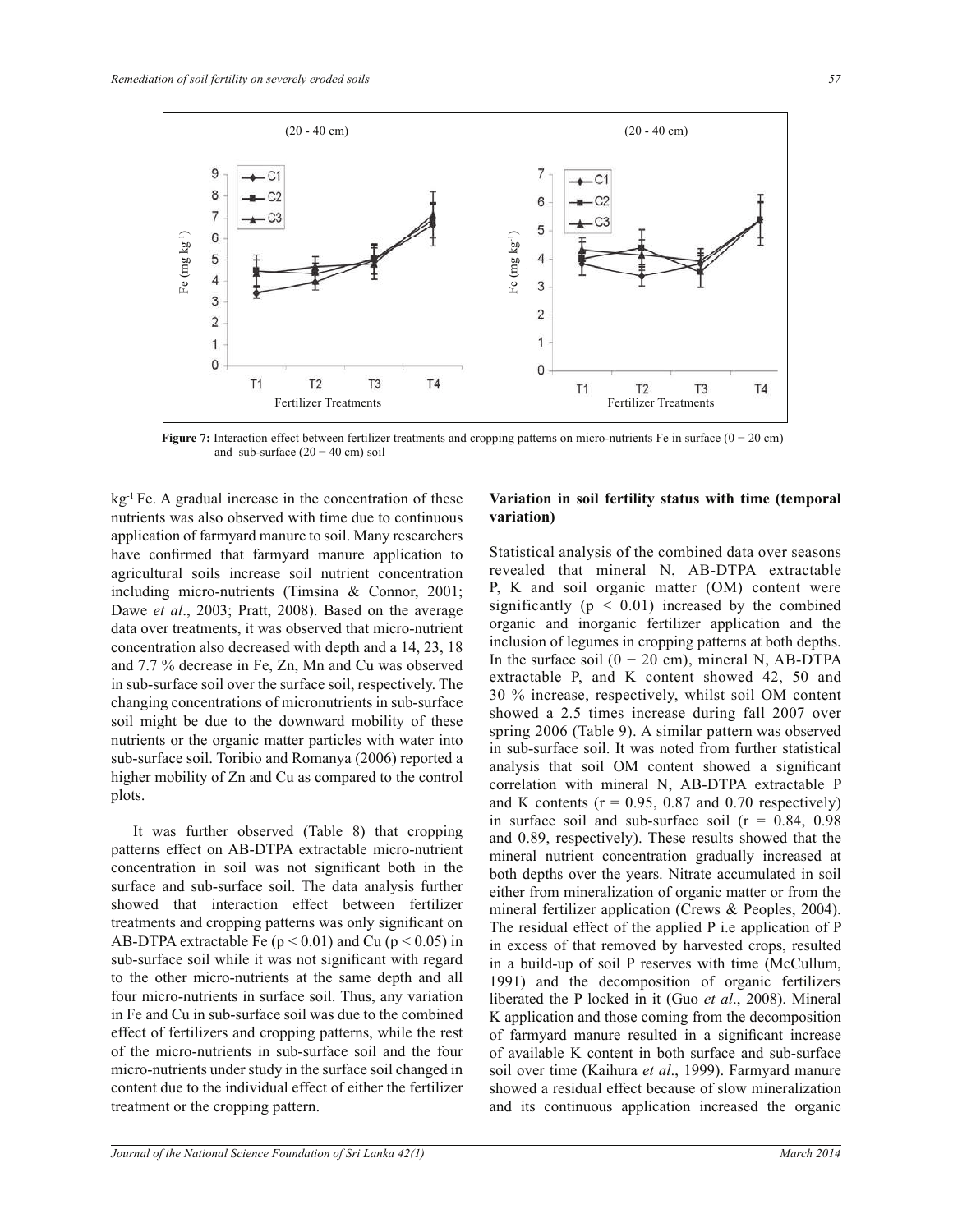

**Figure 7:** Interaction effect between fertilizer treatments and cropping patterns on micro-nutrients Fe in surface (0 − 20 cm) and sub-surface  $(20 - 40 \text{ cm})$  soil

 $kg<sup>-1</sup>$  Fe. A gradual increase in the concentration of these nutrients was also observed with time due to continuous application of farmyard manure to soil. Many researchers have confirmed that farmyard manure application to agricultural soils increase soil nutrient concentration including micro-nutrients (Timsina & Connor, 2001; Dawe *et al*., 2003; Pratt, 2008). Based on the average data over treatments, it was observed that micro-nutrient concentration also decreased with depth and a 14, 23, 18 and 7.7 % decrease in Fe, Zn, Mn and Cu was observed in sub-surface soil over the surface soil, respectively. The changing concentrations of micronutrients in sub-surface soil might be due to the downward mobility of these nutrients or the organic matter particles with water into sub-surface soil. Toribio and Romanya (2006) reported a higher mobility of Zn and Cu as compared to the control plots.

 It was further observed (Table 8) that cropping patterns effect on AB-DTPA extractable micro-nutrient concentration in soil was not significant both in the surface and sub-surface soil. The data analysis further showed that interaction effect between fertilizer treatments and cropping patterns was only significant on AB-DTPA extractable Fe  $(p < 0.01)$  and Cu  $(p < 0.05)$  in sub-surface soil while it was not significant with regard to the other micro-nutrients at the same depth and all four micro-nutrients in surface soil. Thus, any variation in Fe and Cu in sub-surface soil was due to the combined effect of fertilizers and cropping patterns, while the rest of the micro-nutrients in sub-surface soil and the four micro-nutrients under study in the surface soil changed in content due to the individual effect of either the fertilizer treatment or the cropping pattern.

## **Variation in soil fertility status with time (temporal variation)**

Statistical analysis of the combined data over seasons revealed that mineral N, AB-DTPA extractable P, K and soil organic matter (OM) content were significantly ( $p < 0.01$ ) increased by the combined organic and inorganic fertilizer application and the inclusion of legumes in cropping patterns at both depths. In the surface soil  $(0 - 20$  cm), mineral N, AB-DTPA extractable P, and K content showed 42, 50 and 30 % increase, respectively, whilst soil OM content showed a 2.5 times increase during fall 2007 over spring 2006 (Table 9). A similar pattern was observed in sub-surface soil. It was noted from further statistical analysis that soil OM content showed a significant correlation with mineral N, AB-DTPA extractable P and K contents ( $r = 0.95$ , 0.87 and 0.70 respectively) in surface soil and sub-surface soil  $(r = 0.84, 0.98)$ and 0.89, respectively). These results showed that the mineral nutrient concentration gradually increased at both depths over the years. Nitrate accumulated in soil either from mineralization of organic matter or from the mineral fertilizer application (Crews & Peoples, 2004). The residual effect of the applied P i.e application of P in excess of that removed by harvested crops, resulted in a build-up of soil P reserves with time (McCullum, 1991) and the decomposition of organic fertilizers liberated the P locked in it (Guo *et al*., 2008). Mineral K application and those coming from the decomposition of farmyard manure resulted in a significant increase of available K content in both surface and sub-surface soil over time (Kaihura *et al*., 1999). Farmyard manure showed a residual effect because of slow mineralization and its continuous application increased the organic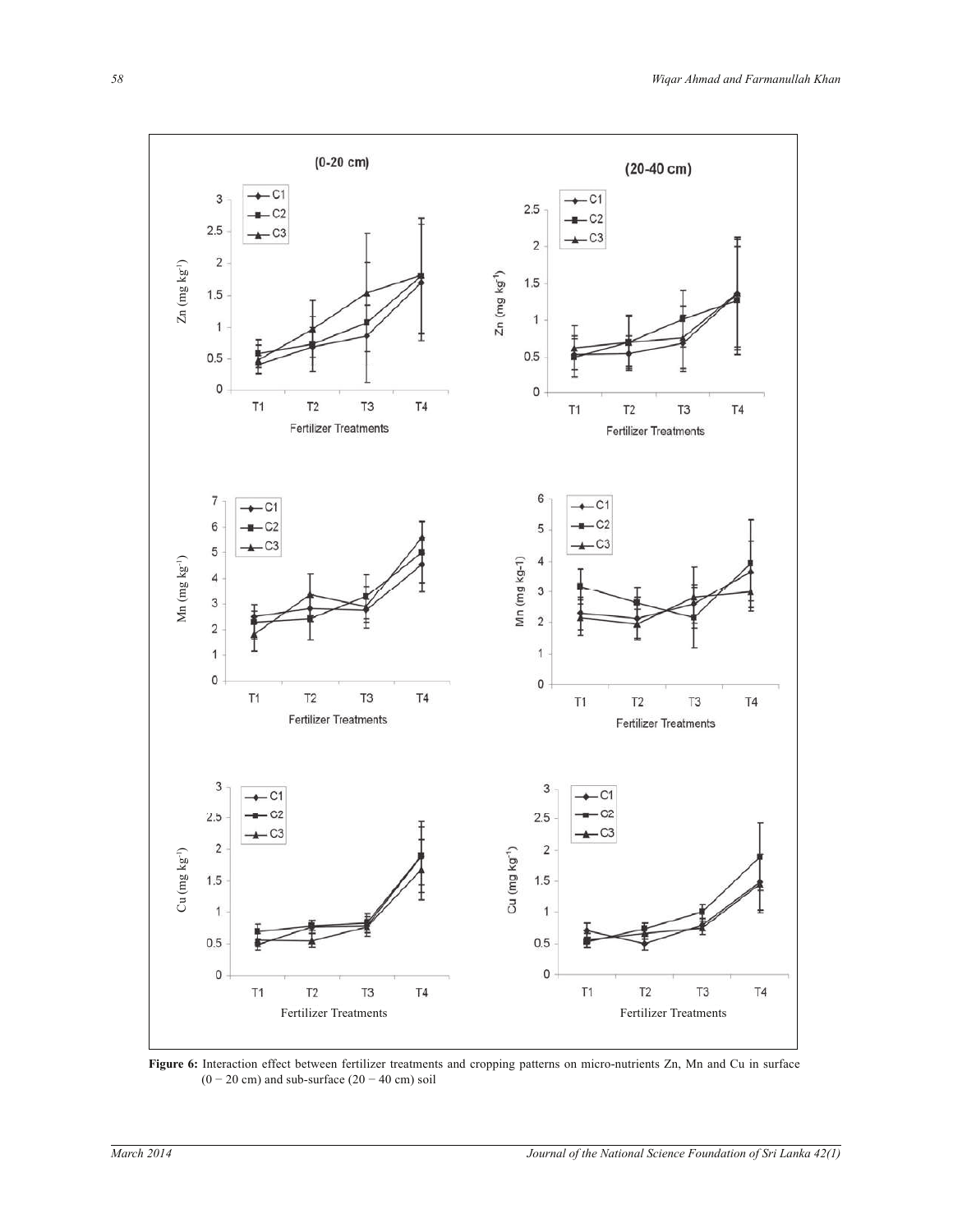

**Figure 6:** Interaction effect between fertilizer treatments and cropping patterns on micro-nutrients Zn, Mn and Cu in surface  $(0 - 20$  cm) and sub-surface  $(20 - 40$  cm) soil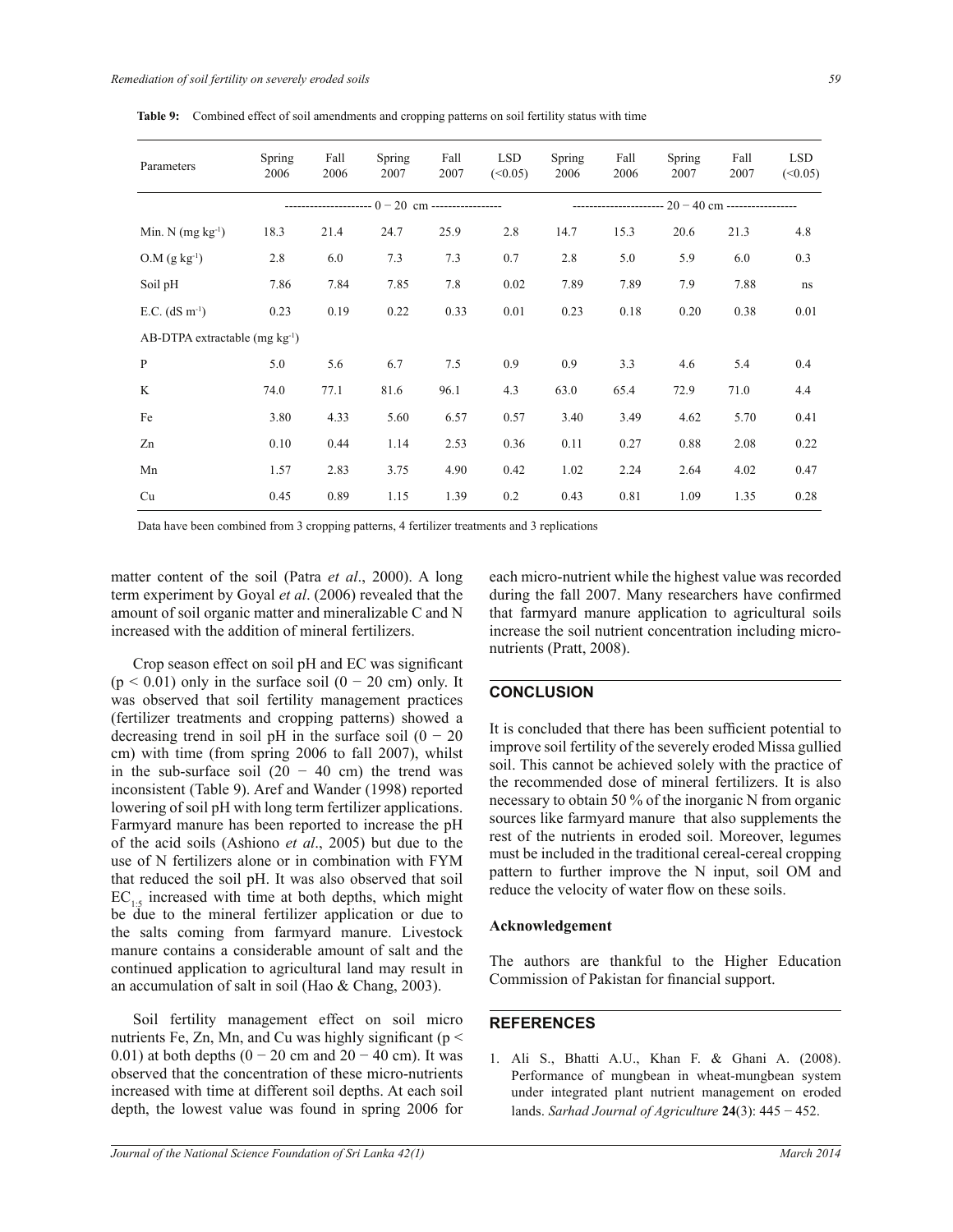| Parameters                                         | Spring<br>2006 | Fall<br>2006 | Spring<br>2007 | Fall<br>2007 | <b>LSD</b><br>(<0.05) | Spring<br>2006 | Fall<br>2006 | Spring<br>2007                                        | Fall<br>2007 | <b>LSD</b><br>(<0.05) |
|----------------------------------------------------|----------------|--------------|----------------|--------------|-----------------------|----------------|--------------|-------------------------------------------------------|--------------|-----------------------|
| ---------------------- $0-20$ cm ----------------- |                |              |                |              |                       |                |              | ---------------------- $20 - 40$ cm ----------------- |              |                       |
| Min. N $(mg kg-1)$                                 | 18.3           | 21.4         | 24.7           | 25.9         | 2.8                   | 14.7           | 15.3         | 20.6                                                  | 21.3         | 4.8                   |
| $O.M (g kg-1)$                                     | 2.8            | 6.0          | 7.3            | 7.3          | 0.7                   | 2.8            | 5.0          | 5.9                                                   | 6.0          | 0.3                   |
| Soil pH                                            | 7.86           | 7.84         | 7.85           | 7.8          | 0.02                  | 7.89           | 7.89         | 7.9                                                   | 7.88         | ns                    |
| E.C. $(dS \, m^{-1})$                              | 0.23           | 0.19         | 0.22           | 0.33         | 0.01                  | 0.23           | 0.18         | 0.20                                                  | 0.38         | 0.01                  |
| AB-DTPA extractable $(mg \ kg^{-1})$               |                |              |                |              |                       |                |              |                                                       |              |                       |
| $\, {\bf P}$                                       | 5.0            | 5.6          | 6.7            | 7.5          | 0.9                   | 0.9            | 3.3          | 4.6                                                   | 5.4          | 0.4                   |
| $\mathbf{K}$                                       | 74.0           | 77.1         | 81.6           | 96.1         | 4.3                   | 63.0           | 65.4         | 72.9                                                  | 71.0         | 4.4                   |
| Fe                                                 | 3.80           | 4.33         | 5.60           | 6.57         | 0.57                  | 3.40           | 3.49         | 4.62                                                  | 5.70         | 0.41                  |
| Zn                                                 | 0.10           | 0.44         | 1.14           | 2.53         | 0.36                  | 0.11           | 0.27         | 0.88                                                  | 2.08         | 0.22                  |
| Mn                                                 | 1.57           | 2.83         | 3.75           | 4.90         | 0.42                  | 1.02           | 2.24         | 2.64                                                  | 4.02         | 0.47                  |
| Cu                                                 | 0.45           | 0.89         | 1.15           | 1.39         | 0.2                   | 0.43           | 0.81         | 1.09                                                  | 1.35         | 0.28                  |

**Table 9:** Combined effect of soil amendments and cropping patterns on soil fertility status with time

Data have been combined from 3 cropping patterns, 4 fertilizer treatments and 3 replications

matter content of the soil (Patra *et al*., 2000). A long term experiment by Goyal *et al*. (2006) revealed that the amount of soil organic matter and mineralizable C and N increased with the addition of mineral fertilizers.

 Crop season effect on soil pH and EC was significant  $(p < 0.01)$  only in the surface soil  $(0 - 20 \text{ cm})$  only. It was observed that soil fertility management practices (fertilizer treatments and cropping patterns) showed a decreasing trend in soil pH in the surface soil  $(0 - 20)$ cm) with time (from spring 2006 to fall 2007), whilst in the sub-surface soil  $(20 - 40$  cm) the trend was inconsistent (Table 9). Aref and Wander (1998) reported lowering of soil pH with long term fertilizer applications. Farmyard manure has been reported to increase the pH of the acid soils (Ashiono *et al*., 2005) but due to the use of N fertilizers alone or in combination with FYM that reduced the soil pH. It was also observed that soil  $EC_{1.5}$  increased with time at both depths, which might be due to the mineral fertilizer application or due to the salts coming from farmyard manure. Livestock manure contains a considerable amount of salt and the continued application to agricultural land may result in an accumulation of salt in soil (Hao & Chang, 2003).

 Soil fertility management effect on soil micro nutrients Fe, Zn, Mn, and Cu was highly significant ( $p <$ 0.01) at both depths  $(0 - 20 \text{ cm and } 20 - 40 \text{ cm})$ . It was observed that the concentration of these micro-nutrients increased with time at different soil depths. At each soil depth, the lowest value was found in spring 2006 for

each micro-nutrient while the highest value was recorded during the fall 2007. Many researchers have confirmed that farmyard manure application to agricultural soils increase the soil nutrient concentration including micronutrients (Pratt, 2008).

# **CONCLUSION**

It is concluded that there has been sufficient potential to improve soil fertility of the severely eroded Missa gullied soil. This cannot be achieved solely with the practice of the recommended dose of mineral fertilizers. It is also necessary to obtain 50 % of the inorganic N from organic sources like farmyard manure that also supplements the rest of the nutrients in eroded soil. Moreover, legumes must be included in the traditional cereal-cereal cropping pattern to further improve the N input, soil OM and reduce the velocity of water flow on these soils.

#### **Acknowledgement**

The authors are thankful to the Higher Education Commission of Pakistan for financial support.

## **REFERENCES**

1. Ali S., Bhatti A.U., Khan F. & Ghani A. (2008). Performance of mungbean in wheat-mungbean system under integrated plant nutrient management on eroded lands. *Sarhad Journal of Agriculture* **24**(3): 445 − 452.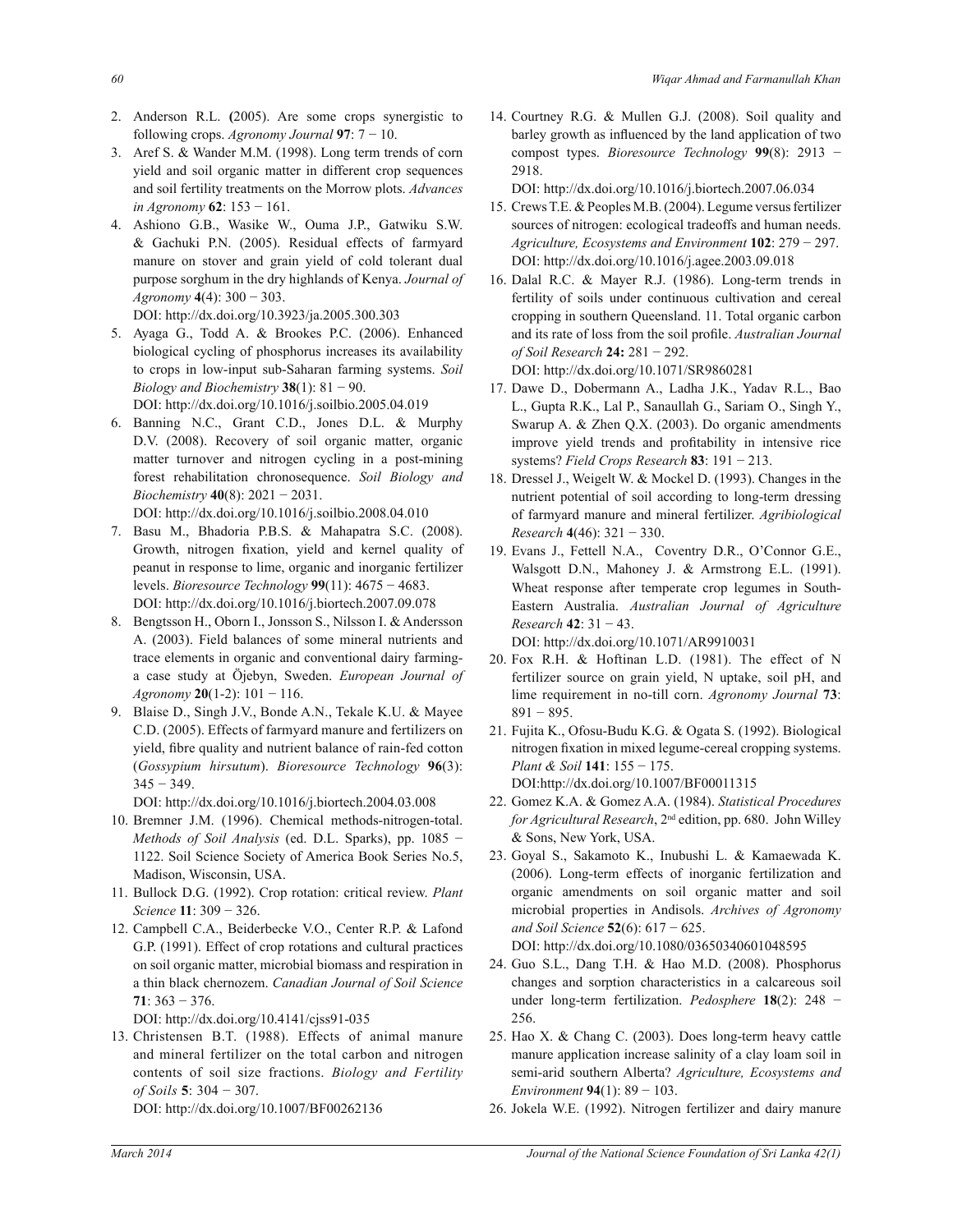- 2. Anderson R.L. **(**2005). Are some crops synergistic to following crops. *Agronomy Journal* **97**: 7 − 10.
- 3. Aref S. & Wander M.M. (1998). Long term trends of corn yield and soil organic matter in different crop sequences and soil fertility treatments on the Morrow plots. *Advances in Agronomy* **62**: 153 − 161.
- 4. Ashiono G.B., Wasike W., Ouma J.P., Gatwiku S.W. & Gachuki P.N. (2005). Residual effects of farmyard manure on stover and grain yield of cold tolerant dual purpose sorghum in the dry highlands of Kenya. *Journal of Agronomy* **4**(4): 300 − 303.
- DOI: http://dx.doi.org/10.3923/ja.2005.300.303 5. Ayaga G., Todd A. & Brookes P.C. (2006). Enhanced biological cycling of phosphorus increases its availability to crops in low-input sub-Saharan farming systems. *Soil Biology and Biochemistry* **38**(1):  $81 - 90$ . DOI: http://dx.doi.org/10.1016/j.soilbio.2005.04.019
- 6. Banning N.C., Grant C.D., Jones D.L. & Murphy D.V. (2008). Recovery of soil organic matter, organic matter turnover and nitrogen cycling in a post-mining forest rehabilitation chronosequence. *Soil Biology and Biochemistry* **40**(8): 2021 − 2031. DOI: http://dx.doi.org/10.1016/j.soilbio.2008.04.010
- 7. Basu M., Bhadoria P.B.S. & Mahapatra S.C. (2008). Growth, nitrogen fixation, yield and kernel quality of peanut in response to lime, organic and inorganic fertilizer levels. *Bioresource Technology* **99**(11): 4675 − 4683. DOI: http://dx.doi.org/10.1016/j.biortech.2007.09.078
- 8. Bengtsson H., Oborn I., Jonsson S., Nilsson I. & Andersson A. (2003). Field balances of some mineral nutrients and trace elements in organic and conventional dairy farminga case study at Öjebyn, Sweden. *European Journal of Agronomy* **20**(1-2): 101 − 116.
- 9. Blaise D., Singh J.V., Bonde A.N., Tekale K.U. & Mayee C.D. (2005). Effects of farmyard manure and fertilizers on yield, fibre quality and nutrient balance of rain-fed cotton (*Gossypium hirsutum*). *Bioresource Technology* **96**(3):  $345 - 349$ .
	- DOI: http://dx.doi.org/10.1016/j.biortech.2004.03.008
- 10. Bremner J.M. (1996). Chemical methods-nitrogen-total. *Methods of Soil Analysis* (ed. D.L. Sparks), pp. 1085 − 1122. Soil Science Society of America Book Series No.5, Madison, Wisconsin, USA.
- 11. Bullock D.G. (1992). Crop rotation: critical review. *Plant Science* **11**: 309 − 326.
- 12. Campbell C.A., Beiderbecke V.O., Center R.P. & Lafond G.P. (1991). Effect of crop rotations and cultural practices on soil organic matter, microbial biomass and respiration in a thin black chernozem. *Canadian Journal of Soil Science* **71**: 363 − 376.

DOI: http://dx.doi.org/10.4141/cjss91-035

13. Christensen B.T. (1988). Effects of animal manure and mineral fertilizer on the total carbon and nitrogen contents of soil size fractions. *Biology and Fertility of Soils* **5**: 304 − 307.

DOI: http://dx.doi.org/10.1007/BF00262136

14. Courtney R.G. & Mullen G.J. (2008). Soil quality and barley growth as influenced by the land application of two compost types. *Bioresource Technology* **99**(8): 2913 − 2918.

DOI: http://dx.doi.org/10.1016/j.biortech.2007.06.034

- 15. Crews T.E. & Peoples M.B. (2004). Legume versus fertilizer sources of nitrogen: ecological tradeoffs and human needs. *Agriculture, Ecosystems and Environment* **102**: 279 − 297. DOI: http://dx.doi.org/10.1016/j.agee.2003.09.018
- 16. Dalal R.C. & Mayer R.J. (1986). Long-term trends in fertility of soils under continuous cultivation and cereal cropping in southern Queensland. 11. Total organic carbon and its rate of loss from the soil profile. *Australian Journal of Soil Research* **24:** 281 − 292. DOI: http://dx.doi.org/10.1071/SR9860281
- 17. Dawe D., Dobermann A., Ladha J.K., Yadav R.L., Bao L., Gupta R.K., Lal P., Sanaullah G., Sariam O., Singh Y., Swarup A. & Zhen Q.X. (2003). Do organic amendments improve yield trends and profitability in intensive rice systems? *Field Crops Research* **83**: 191 − 213.
- 18. Dressel J., Weigelt W. & Mockel D. (1993). Changes in the nutrient potential of soil according to long-term dressing of farmyard manure and mineral fertilizer. *Agribiological Research* **4**(46): 321 − 330.
- 19. Evans J., Fettell N.A., Coventry D.R., O'Connor G.E., Walsgott D.N., Mahoney J. & Armstrong E.L. (1991). Wheat response after temperate crop legumes in South-Eastern Australia. *Australian Journal of Agriculture Research* **42**: 31 − 43. DOI: http://dx.doi.org/10.1071/AR9910031
- 20. Fox R.H. & Hoftinan L.D. (1981). The effect of N fertilizer source on grain yield, N uptake, soil pH, and lime requirement in no-till corn. *Agronomy Journal* **73**: 891 − 895.
- 21. Fujita K., Ofosu-Budu K.G. & Ogata S. (1992). Biological nitrogen fixation in mixed legume-cereal cropping systems. *Plant & Soil* **141**: 155 − 175. DOI:http://dx.doi.org/10.1007/BF00011315
- 22. Gomez K.A. & Gomez A.A. (1984). *Statistical Procedures for Agricultural Research*, 2nd edition, pp. 680. John Willey & Sons, New York, USA.
- 23. Goyal S., Sakamoto K., Inubushi L. & Kamaewada K. (2006). Long-term effects of inorganic fertilization and organic amendments on soil organic matter and soil microbial properties in Andisols. *Archives of Agronomy and Soil Science* **52**(6): 617 − 625.

DOI: http://dx.doi.org/10.1080/03650340601048595

- 24. Guo S.L., Dang T.H. & Hao M.D. (2008). Phosphorus changes and sorption characteristics in a calcareous soil under long-term fertilization. *Pedosphere* **18**(2): 248 − 256.
- 25. Hao X. & Chang C. (2003). Does long-term heavy cattle manure application increase salinity of a clay loam soil in semi-arid southern Alberta? *Agriculture, Ecosystems and Environment* **94**(1): 89 − 103.
- 26. Jokela W.E. (1992). Nitrogen fertilizer and dairy manure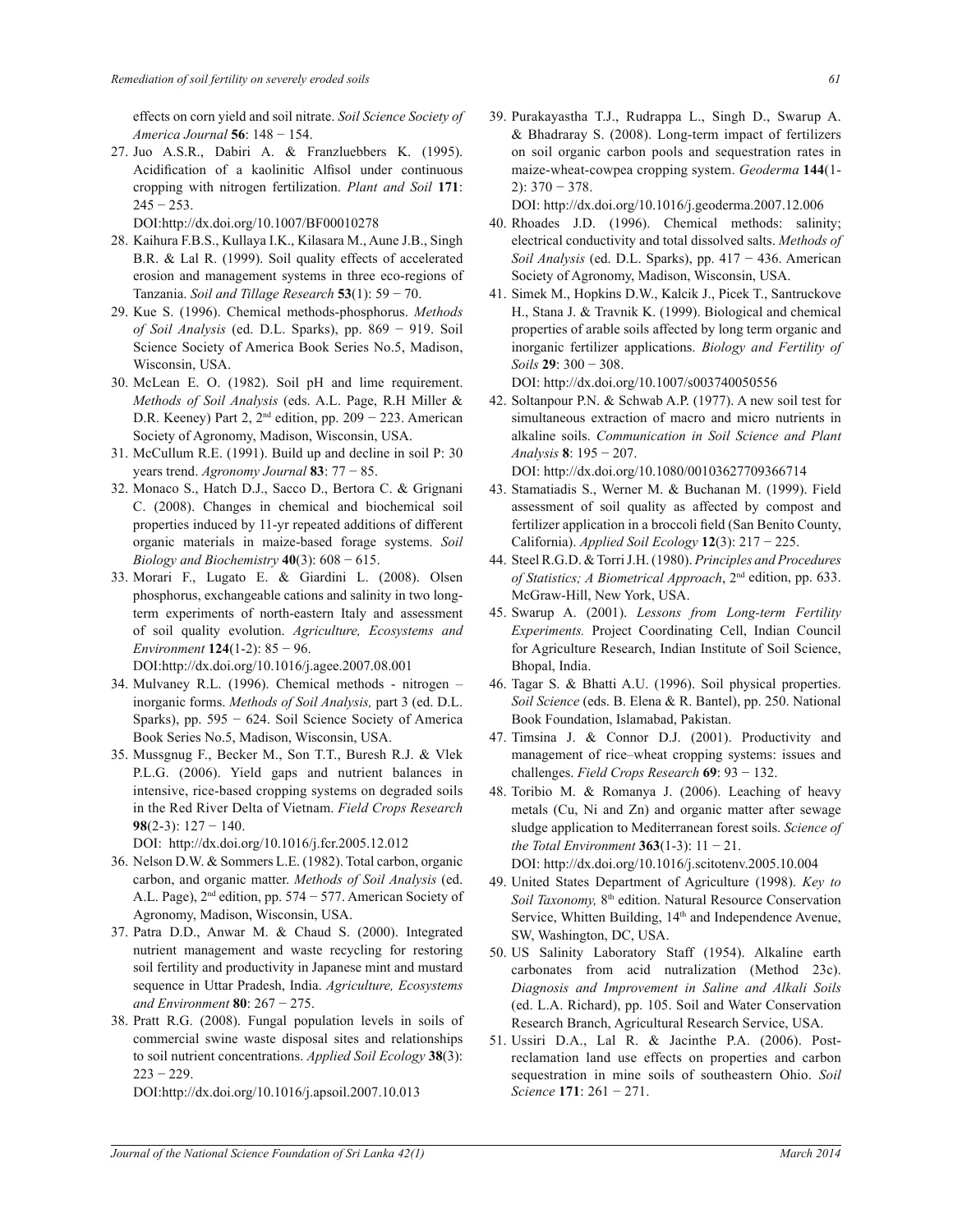effects on corn yield and soil nitrate. *Soil Science Society of America Journal* **56**: 148 − 154.

27. Juo A.S.R., Dabiri A. & Franzluebbers K. (1995). Acidification of a kaolinitic Alfisol under continuous cropping with nitrogen fertilization. *Plant and Soil* **171**:  $245 - 253$ .

DOI:http://dx.doi.org/10.1007/BF00010278

- 28. Kaihura F.B.S., Kullaya I.K., Kilasara M., Aune J.B., Singh B.R. & Lal R. (1999). Soil quality effects of accelerated erosion and management systems in three eco-regions of Tanzania. *Soil and Tillage Research* **53**(1):  $59 - 70$ .
- 29. Kue S. (1996). Chemical methods-phosphorus. *Methods of Soil Analysis* (ed. D.L. Sparks), pp. 869 − 919. Soil Science Society of America Book Series No.5, Madison, Wisconsin, USA.
- 30. McLean E. O. (1982). Soil pH and lime requirement. *Methods of Soil Analysis* (eds. A.L. Page, R.H Miller & D.R. Keeney) Part 2, 2<sup>nd</sup> edition, pp. 209 − 223. American Society of Agronomy, Madison, Wisconsin, USA.
- 31. McCullum R.E. (1991). Build up and decline in soil P: 30 years trend. *Agronomy Journal* **83**: 77 − 85.
- 32. Monaco S., Hatch D.J., Sacco D., Bertora C. & Grignani C. (2008). Changes in chemical and biochemical soil properties induced by 11-yr repeated additions of different organic materials in maize-based forage systems. *Soil Biology and Biochemistry* **40**(3): 608 − 615.
- 33. Morari F., Lugato E. & Giardini L. (2008). Olsen phosphorus, exchangeable cations and salinity in two longterm experiments of north-eastern Italy and assessment of soil quality evolution. *Agriculture, Ecosystems and Environment* **124**(1-2): 85 − 96.

DOI:http://dx.doi.org/10.1016/j.agee.2007.08.001

- 34. Mulvaney R.L. (1996). Chemical methods nitrogen inorganic forms. *Methods of Soil Analysis,* part 3 (ed. D.L. Sparks), pp. 595 − 624. Soil Science Society of America Book Series No.5, Madison, Wisconsin, USA.
- 35. Mussgnug F., Becker M., Son T.T., Buresh R.J. & Vlek P.L.G. (2006). Yield gaps and nutrient balances in intensive, rice-based cropping systems on degraded soils in the Red River Delta of Vietnam. *Field Crops Research* **98**(2-3): 127 − 140.

DOI: http://dx.doi.org/10.1016/j.fcr.2005.12.012

- 36. Nelson D.W. & Sommers L.E. (1982). Total carbon, organic carbon, and organic matter. *Methods of Soil Analysis* (ed. A.L. Page), 2nd edition, pp. 574 − 577. American Society of Agronomy, Madison, Wisconsin, USA.
- 37. Patra D.D., Anwar M. & Chaud S. (2000). Integrated nutrient management and waste recycling for restoring soil fertility and productivity in Japanese mint and mustard sequence in Uttar Pradesh, India. *Agriculture, Ecosystems and Environment* **80**: 267 − 275.
- 38. Pratt R.G. (2008). Fungal population levels in soils of commercial swine waste disposal sites and relationships to soil nutrient concentrations. *Applied Soil Ecology* **38**(3): 223 − 229.

DOI:http://dx.doi.org/10.1016/j.apsoil.2007.10.013

39. Purakayastha T.J., Rudrappa L., Singh D., Swarup A. & Bhadraray S. (2008). Long-term impact of fertilizers on soil organic carbon pools and sequestration rates in maize-wheat-cowpea cropping system. *Geoderma* **144**(1- 2): 370 − 378.

DOI: http://dx.doi.org/10.1016/j.geoderma.2007.12.006

- 40. Rhoades J.D. (1996). Chemical methods: salinity; electrical conductivity and total dissolved salts. *Methods of Soil Analysis* (ed. D.L. Sparks), pp. 417 − 436. American Society of Agronomy, Madison, Wisconsin, USA.
- 41. Simek M., Hopkins D.W., Kalcik J., Picek T., Santruckove H., Stana J. & Travnik K. (1999). Biological and chemical properties of arable soils affected by long term organic and inorganic fertilizer applications. *Biology and Fertility of Soils* **29**: 300 − 308.

DOI: http://dx.doi.org/10.1007/s003740050556

42. Soltanpour P.N. & Schwab A.P. (1977). A new soil test for simultaneous extraction of macro and micro nutrients in alkaline soils. *Communication in Soil Science and Plant Analysis* **8**: 195 − 207.

DOI: http://dx.doi.org/10.1080/00103627709366714

- 43. Stamatiadis S., Werner M. & Buchanan M. (1999). Field assessment of soil quality as affected by compost and fertilizer application in a broccoli field (San Benito County, California). *Applied Soil Ecology* **12**(3): 217 − 225.
- 44. Steel R.G.D. & Torri J.H. (1980). *Principles and Procedures of Statistics; A Biometrical Approach*, 2nd edition, pp. 633. McGraw-Hill, New York, USA.
- 45. Swarup A. (2001). *Lessons from Long-term Fertility Experiments.* Project Coordinating Cell, Indian Council for Agriculture Research, Indian Institute of Soil Science, Bhopal, India.
- 46. Tagar S. & Bhatti A.U. (1996). Soil physical properties. *Soil Science* (eds. B. Elena & R. Bantel), pp. 250. National Book Foundation, Islamabad, Pakistan.
- 47. Timsina J. & Connor D.J. (2001). Productivity and management of rice–wheat cropping systems: issues and challenges. *Field Crops Research* **69**: 93 − 132.
- 48. Toribio M. & Romanya J. (2006). Leaching of heavy metals (Cu, Ni and Zn) and organic matter after sewage sludge application to Mediterranean forest soils. *Science of the Total Environment* **363**(1-3): 11 − 21.

DOI: http://dx.doi.org/10.1016/j.scitotenv.2005.10.004

- 49. United States Department of Agriculture (1998). *Key to Soil Taxonomy*, 8<sup>th</sup> edition. Natural Resource Conservation Service, Whitten Building, 14<sup>th</sup> and Independence Avenue, SW, Washington, DC, USA.
- 50. US Salinity Laboratory Staff (1954). Alkaline earth carbonates from acid nutralization (Method 23c). *Diagnosis and Improvement in Saline and Alkali Soils* (ed. L.A. Richard), pp. 105. Soil and Water Conservation Research Branch, Agricultural Research Service, USA.
- 51. Ussiri D.A., Lal R. & Jacinthe P.A. (2006). Postreclamation land use effects on properties and carbon sequestration in mine soils of southeastern Ohio. *Soil Science* **171**: 261 − 271.